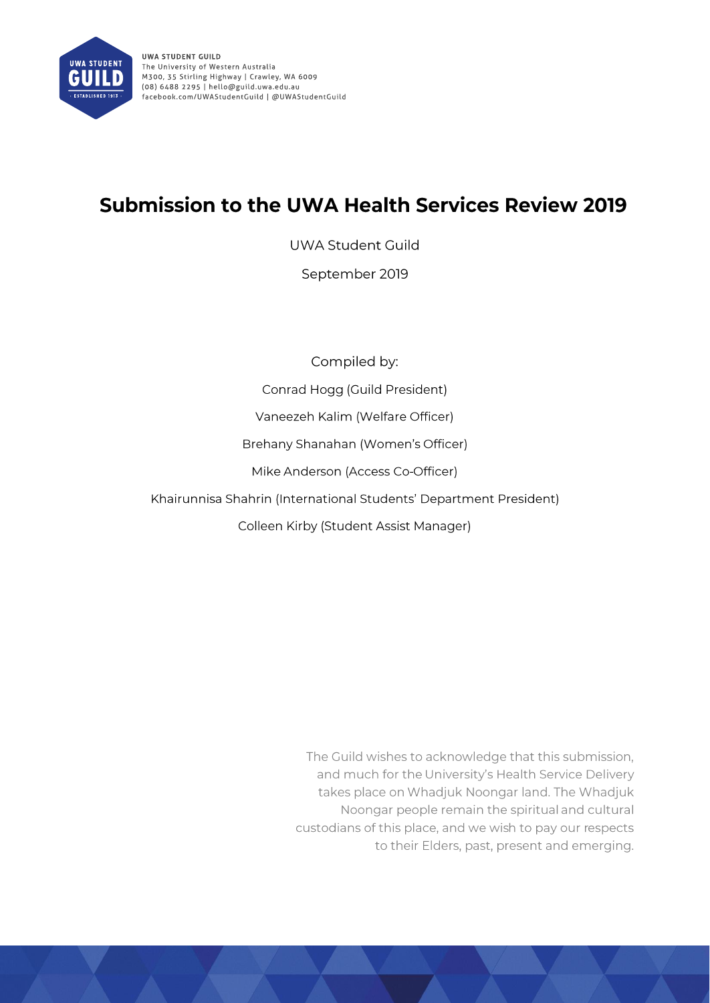

# **Submission to the UWA Health Services Review 2019**

**UWA Student Guild** 

September 2019

Compiled by:

Conrad Hogg (Guild President)

Vaneezeh Kalim (Welfare Officer)

Brehany Shanahan (Women's Officer)

Mike Anderson (Access Co-Officer)

Khairunnisa Shahrin (International Students' Department President)

Colleen Kirby (Student Assist Manager)

The Guild wishes to acknowledge that this submission, and much for the University's Health Service Delivery takes place on Whadjuk Noongar land. The Whadjuk Noongar people remain the spiritual and cultural custodians of this place, and we wish to pay our respects to their Elders, past, present and emerging.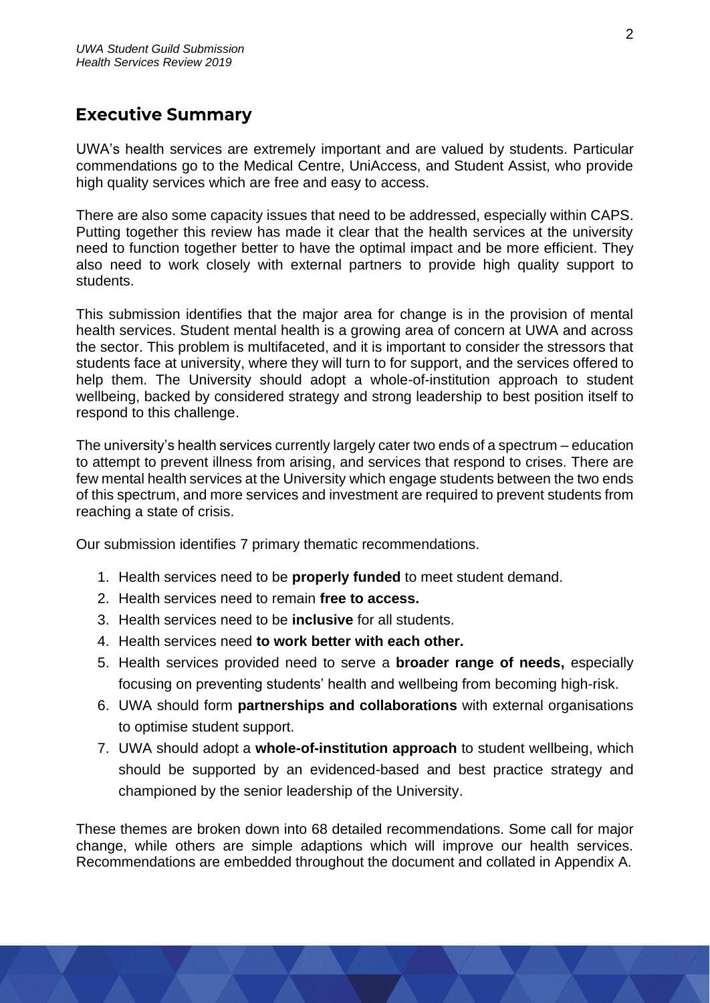# <span id="page-1-0"></span>**Executive Summary**

UWA's health services are extremely important and are valued by students. Particular commendations go to the Medical Centre, UniAccess, and Student Assist, who provide high quality services which are free and easy to access.

There are also some capacity issues that need to be addressed, especially within CAPS. Putting together this review has made it clear that the health services at the university need to function together better to have the optimal impact and be more efficient. They also need to work closely with external partners to provide high quality support to students.

This submission identifies that the major area for change is in the provision of mental health services. Student mental health is a growing area of concern at UWA and across the sector. This problem is multifaceted, and it is important to consider the stressors that students face at university, where they will turn to for support, and the services offered to help them. The University should adopt a whole-of-institution approach to student wellbeing, backed by considered strategy and strong leadership to best position itself to respond to this challenge.

The university's health services currently largely cater two ends of a spectrum – education to attempt to prevent illness from arising, and services that respond to crises. There are few mental health services at the University which engage students between the two ends of this spectrum, and more services and investment are required to prevent students from reaching a state of crisis.

Our submission identifies 7 primary thematic recommendations.

- 1. Health services need to be **properly funded** to meet student demand.
- 2. Health services need to remain **free to access.**
- 3. Health services need to be **inclusive** for all students.
- 4. Health services need **to work better with each other.**
- 5. Health services provided need to serve a **broader range of needs,** especially focusing on preventing students' health and wellbeing from becoming high-risk.
- 6. UWA should form **partnerships and collaborations** with external organisations to optimise student support.
- 7. UWA should adopt a **whole-of-institution approach** to student wellbeing, which should be supported by an evidenced-based and best practice strategy and championed by the senior leadership of the University.

These themes are broken down into 68 detailed recommendations. Some call for major change, while others are simple adaptions which will improve our health services. Recommendations are embedded throughout the document and collated in Appendix A.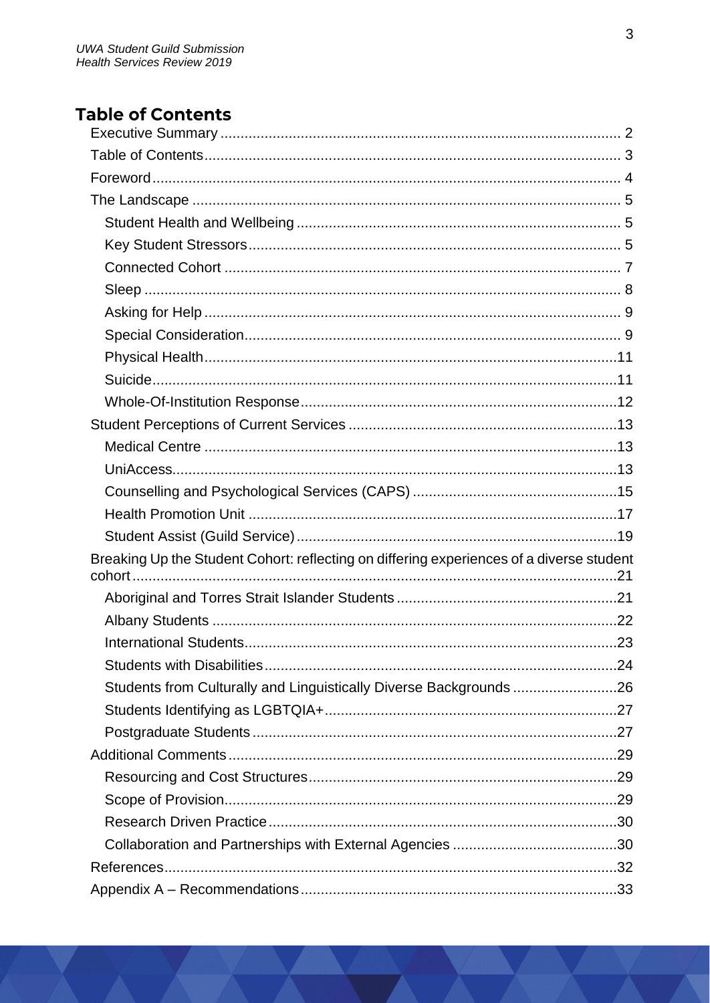# <span id="page-2-0"></span>**Table of Contents**

| Breaking Up the Student Cohort: reflecting on differing experiences of a diverse student |  |
|------------------------------------------------------------------------------------------|--|
|                                                                                          |  |
|                                                                                          |  |
|                                                                                          |  |
|                                                                                          |  |
| Students from Culturally and Linguistically Diverse Backgrounds 26                       |  |
|                                                                                          |  |
|                                                                                          |  |
|                                                                                          |  |
|                                                                                          |  |
|                                                                                          |  |
|                                                                                          |  |
|                                                                                          |  |
|                                                                                          |  |
|                                                                                          |  |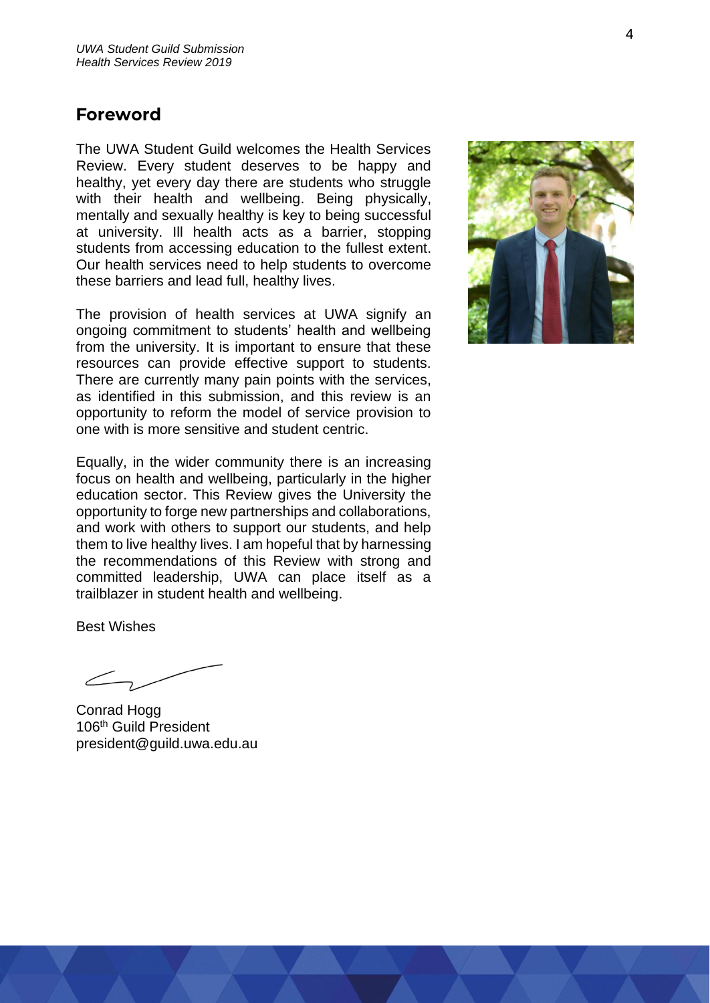# <span id="page-3-0"></span>**Foreword**

The UWA Student Guild welcomes the Health Services Review. Every student deserves to be happy and healthy, yet every day there are students who struggle with their health and wellbeing. Being physically, mentally and sexually healthy is key to being successful at university. Ill health acts as a barrier, stopping students from accessing education to the fullest extent. Our health services need to help students to overcome these barriers and lead full, healthy lives.

The provision of health services at UWA signify an ongoing commitment to students' health and wellbeing from the university. It is important to ensure that these resources can provide effective support to students. There are currently many pain points with the services, as identified in this submission, and this review is an opportunity to reform the model of service provision to one with is more sensitive and student centric.

Equally, in the wider community there is an increasing focus on health and wellbeing, particularly in the higher education sector. This Review gives the University the opportunity to forge new partnerships and collaborations, and work with others to support our students, and help them to live healthy lives. I am hopeful that by harnessing the recommendations of this Review with strong and committed leadership, UWA can place itself as a trailblazer in student health and wellbeing.

Best Wishes

Conrad Hogg 106<sup>th</sup> Guild President president@guild.uwa.edu.au

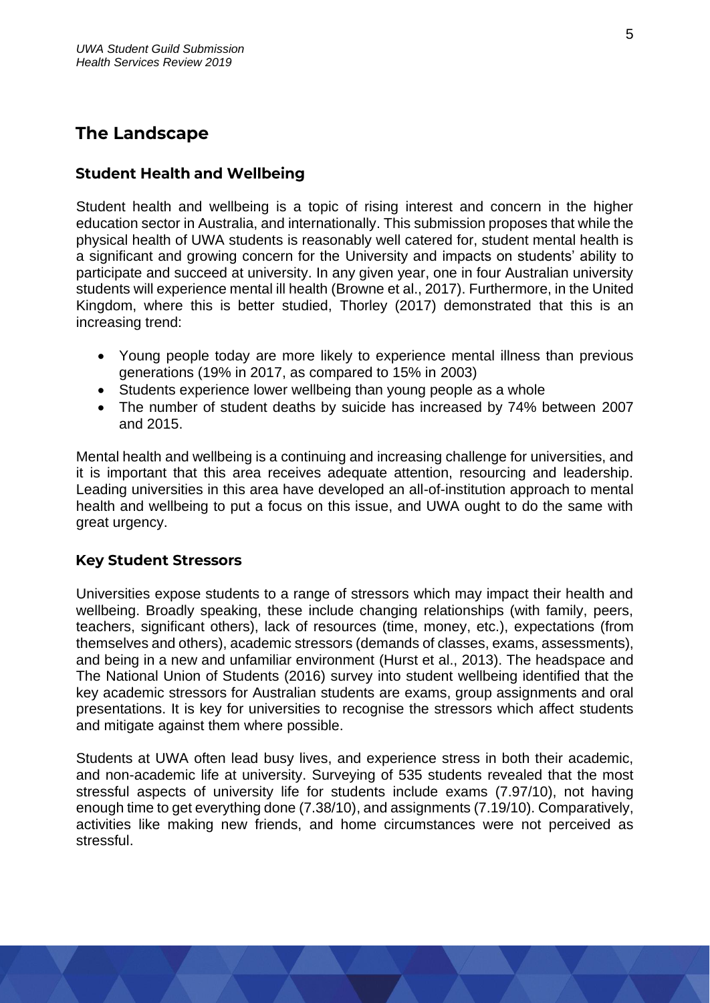# <span id="page-4-0"></span>**The Landscape**

# <span id="page-4-1"></span>**Student Health and Wellbeing**

Student health and wellbeing is a topic of rising interest and concern in the higher education sector in Australia, and internationally. This submission proposes that while the physical health of UWA students is reasonably well catered for, student mental health is a significant and growing concern for the University and impacts on students' ability to participate and succeed at university. In any given year, one in four Australian university students will experience mental ill health (Browne et al., 2017). Furthermore, in the United Kingdom, where this is better studied, Thorley (2017) demonstrated that this is an increasing trend:

- Young people today are more likely to experience mental illness than previous generations (19% in 2017, as compared to 15% in 2003)
- Students experience lower wellbeing than young people as a whole
- The number of student deaths by suicide has increased by 74% between 2007 and 2015.

Mental health and wellbeing is a continuing and increasing challenge for universities, and it is important that this area receives adequate attention, resourcing and leadership. Leading universities in this area have developed an all-of-institution approach to mental health and wellbeing to put a focus on this issue, and UWA ought to do the same with great urgency.

# <span id="page-4-2"></span>**Key Student Stressors**

Universities expose students to a range of stressors which may impact their health and wellbeing. Broadly speaking, these include changing relationships (with family, peers, teachers, significant others), lack of resources (time, money, etc.), expectations (from themselves and others), academic stressors (demands of classes, exams, assessments), and being in a new and unfamiliar environment (Hurst et al., 2013). The headspace and The National Union of Students (2016) survey into student wellbeing identified that the key academic stressors for Australian students are exams, group assignments and oral presentations. It is key for universities to recognise the stressors which affect students and mitigate against them where possible.

Students at UWA often lead busy lives, and experience stress in both their academic, and non-academic life at university. Surveying of 535 students revealed that the most stressful aspects of university life for students include exams (7.97/10), not having enough time to get everything done (7.38/10), and assignments (7.19/10). Comparatively, activities like making new friends, and home circumstances were not perceived as stressful.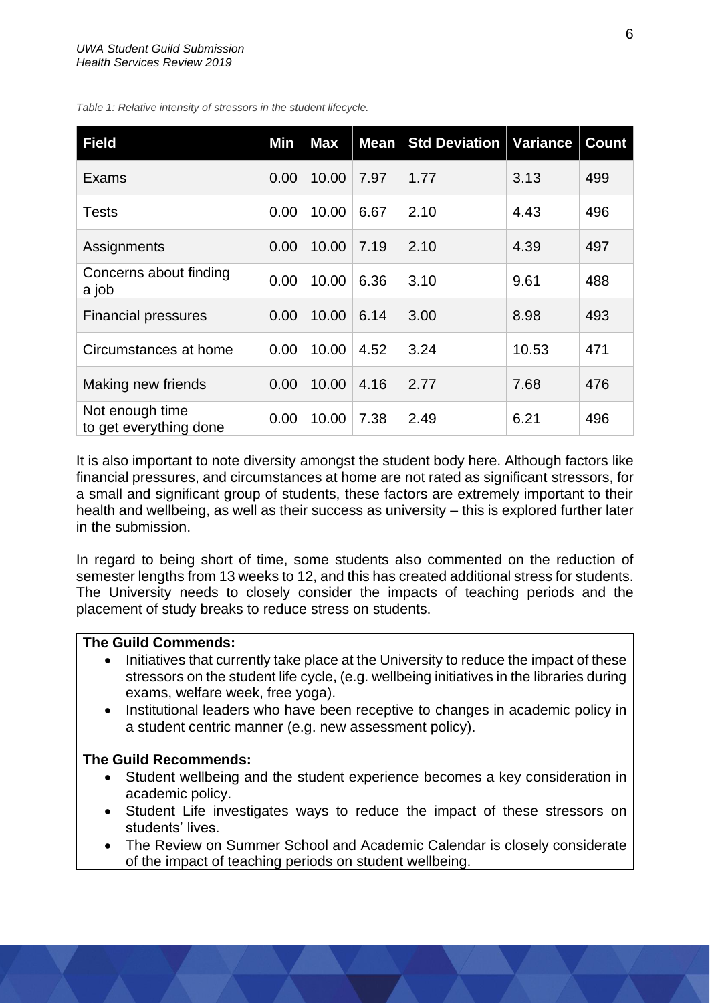| <b>Field</b>                              | Min  | <b>Max</b> | <b>Mean</b> | <b>Std Deviation</b> | Variance | <b>Count</b> |
|-------------------------------------------|------|------------|-------------|----------------------|----------|--------------|
| Exams                                     | 0.00 | 10.00      | 7.97        | 1.77                 | 3.13     | 499          |
| <b>Tests</b>                              | 0.00 | 10.00      | 6.67        | 2.10                 | 4.43     | 496          |
| Assignments                               | 0.00 | 10.00      | 7.19        | 2.10                 | 4.39     | 497          |
| Concerns about finding<br>a job           | 0.00 | 10.00      | 6.36        | 3.10                 | 9.61     | 488          |
| <b>Financial pressures</b>                | 0.00 | 10.00      | 6.14        | 3.00                 | 8.98     | 493          |
| Circumstances at home                     | 0.00 | 10.00      | 4.52        | 3.24                 | 10.53    | 471          |
| Making new friends                        | 0.00 | 10.00      | 4.16        | 2.77                 | 7.68     | 476          |
| Not enough time<br>to get everything done | 0.00 | 10.00      | 7.38        | 2.49                 | 6.21     | 496          |

*Table 1: Relative intensity of stressors in the student lifecycle.*

It is also important to note diversity amongst the student body here. Although factors like financial pressures, and circumstances at home are not rated as significant stressors, for a small and significant group of students, these factors are extremely important to their health and wellbeing, as well as their success as university – this is explored further later in the submission.

In regard to being short of time, some students also commented on the reduction of semester lengths from 13 weeks to 12, and this has created additional stress for students. The University needs to closely consider the impacts of teaching periods and the placement of study breaks to reduce stress on students.

#### **The Guild Commends:**

- Initiatives that currently take place at the University to reduce the impact of these stressors on the student life cycle, (e.g. wellbeing initiatives in the libraries during exams, welfare week, free yoga).
- Institutional leaders who have been receptive to changes in academic policy in a student centric manner (e.g. new assessment policy).

- Student wellbeing and the student experience becomes a key consideration in academic policy.
- Student Life investigates ways to reduce the impact of these stressors on students' lives.
- The Review on Summer School and Academic Calendar is closely considerate of the impact of teaching periods on student wellbeing.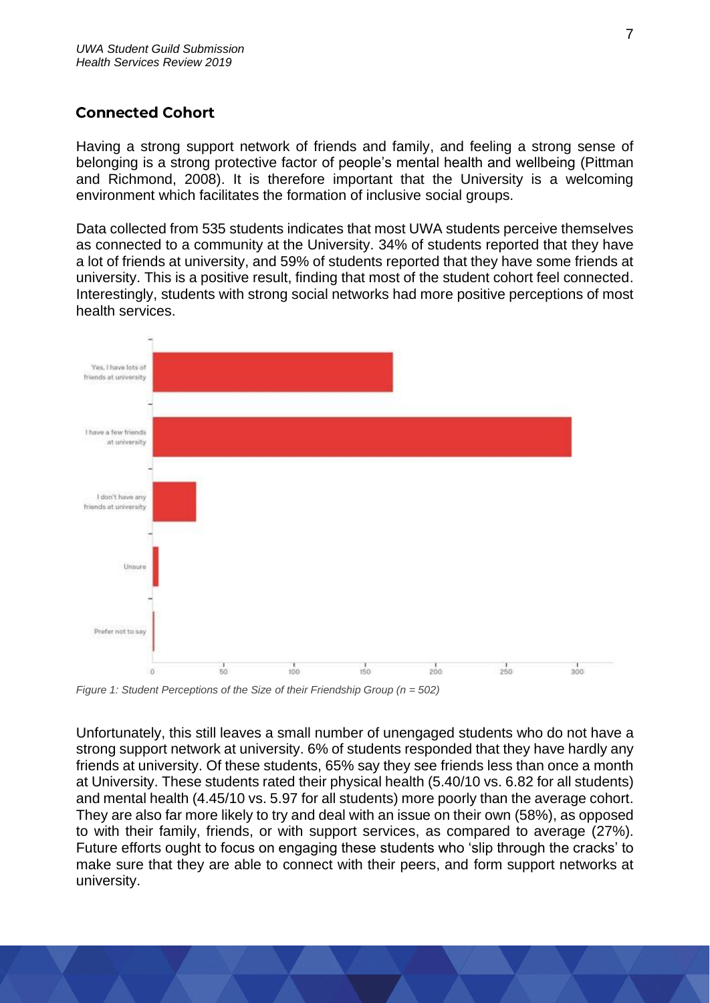# <span id="page-6-0"></span>**Connected Cohort**

Having a strong support network of friends and family, and feeling a strong sense of belonging is a strong protective factor of people's mental health and wellbeing (Pittman and Richmond, 2008). It is therefore important that the University is a welcoming environment which facilitates the formation of inclusive social groups.

Data collected from 535 students indicates that most UWA students perceive themselves as connected to a community at the University. 34% of students reported that they have a lot of friends at university, and 59% of students reported that they have some friends at university. This is a positive result, finding that most of the student cohort feel connected. Interestingly, students with strong social networks had more positive perceptions of most health services.



*Figure 1: Student Perceptions of the Size of their Friendship Group (n = 502)*

Unfortunately, this still leaves a small number of unengaged students who do not have a strong support network at university. 6% of students responded that they have hardly any friends at university. Of these students, 65% say they see friends less than once a month at University. These students rated their physical health (5.40/10 vs. 6.82 for all students) and mental health (4.45/10 vs. 5.97 for all students) more poorly than the average cohort. They are also far more likely to try and deal with an issue on their own (58%), as opposed to with their family, friends, or with support services, as compared to average (27%). Future efforts ought to focus on engaging these students who 'slip through the cracks' to make sure that they are able to connect with their peers, and form support networks at university.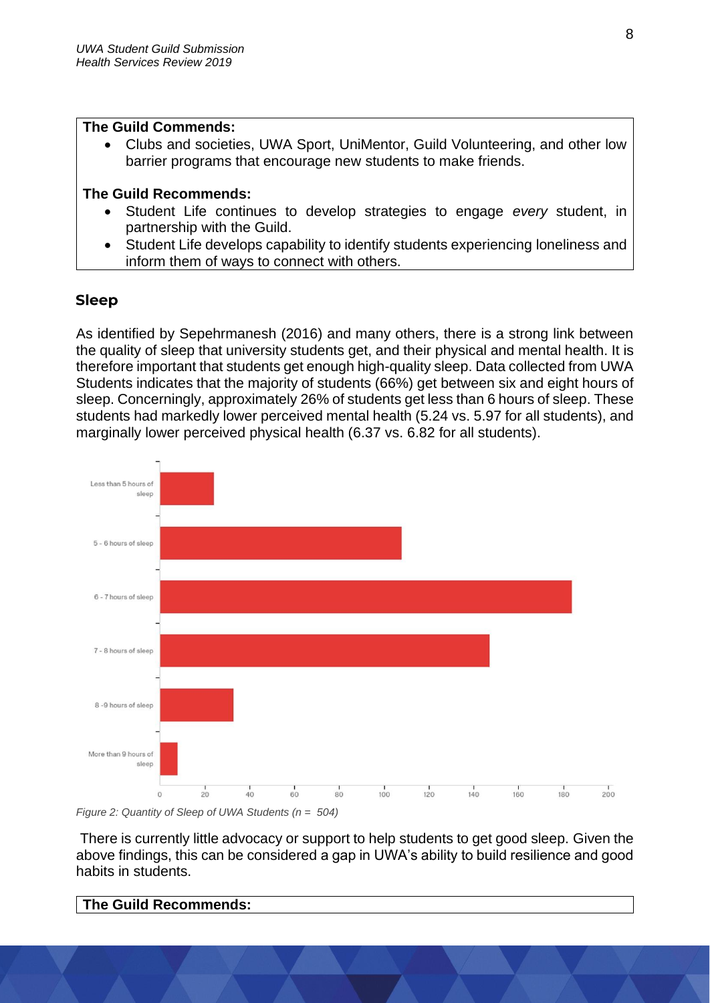#### **The Guild Commends:**

• Clubs and societies, UWA Sport, UniMentor, Guild Volunteering, and other low barrier programs that encourage new students to make friends.

## **The Guild Recommends:**

- Student Life continues to develop strategies to engage *every* student, in partnership with the Guild.
- Student Life develops capability to identify students experiencing loneliness and inform them of ways to connect with others.

# <span id="page-7-0"></span>**Sleep**

As identified by Sepehrmanesh (2016) and many others, there is a strong link between the quality of sleep that university students get, and their physical and mental health. It is therefore important that students get enough high-quality sleep. Data collected from UWA Students indicates that the majority of students (66%) get between six and eight hours of sleep. Concerningly, approximately 26% of students get less than 6 hours of sleep. These students had markedly lower perceived mental health (5.24 vs. 5.97 for all students), and marginally lower perceived physical health (6.37 vs. 6.82 for all students).



*Figure 2: Quantity of Sleep of UWA Students (n = 504)*

There is currently little advocacy or support to help students to get good sleep. Given the above findings, this can be considered a gap in UWA's ability to build resilience and good habits in students.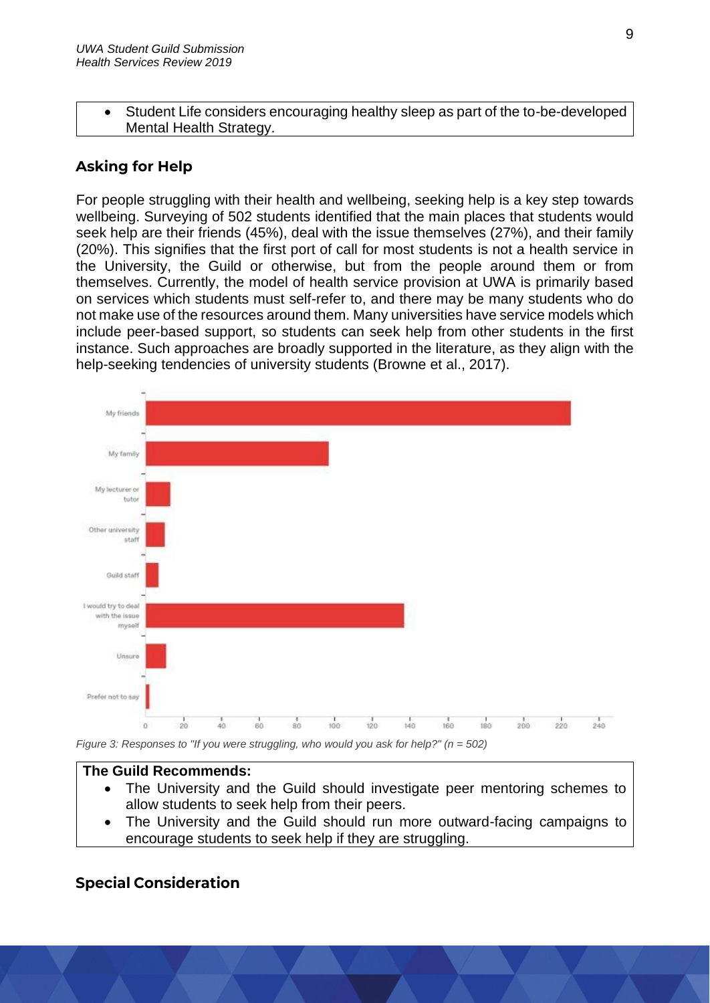• Student Life considers encouraging healthy sleep as part of the to-be-developed Mental Health Strategy.

# <span id="page-8-0"></span>**Asking for Help**

For people struggling with their health and wellbeing, seeking help is a key step towards wellbeing. Surveying of 502 students identified that the main places that students would seek help are their friends (45%), deal with the issue themselves (27%), and their family (20%). This signifies that the first port of call for most students is not a health service in the University, the Guild or otherwise, but from the people around them or from themselves. Currently, the model of health service provision at UWA is primarily based on services which students must self-refer to, and there may be many students who do not make use of the resources around them. Many universities have service models which include peer-based support, so students can seek help from other students in the first instance. Such approaches are broadly supported in the literature, as they align with the help-seeking tendencies of university students (Browne et al., 2017).



*Figure 3: Responses to "If you were struggling, who would you ask for help?" (n = 502)*

#### **The Guild Recommends:**

- The University and the Guild should investigate peer mentoring schemes to allow students to seek help from their peers.
- The University and the Guild should run more outward-facing campaigns to encourage students to seek help if they are struggling.

# <span id="page-8-1"></span>**Special Consideration**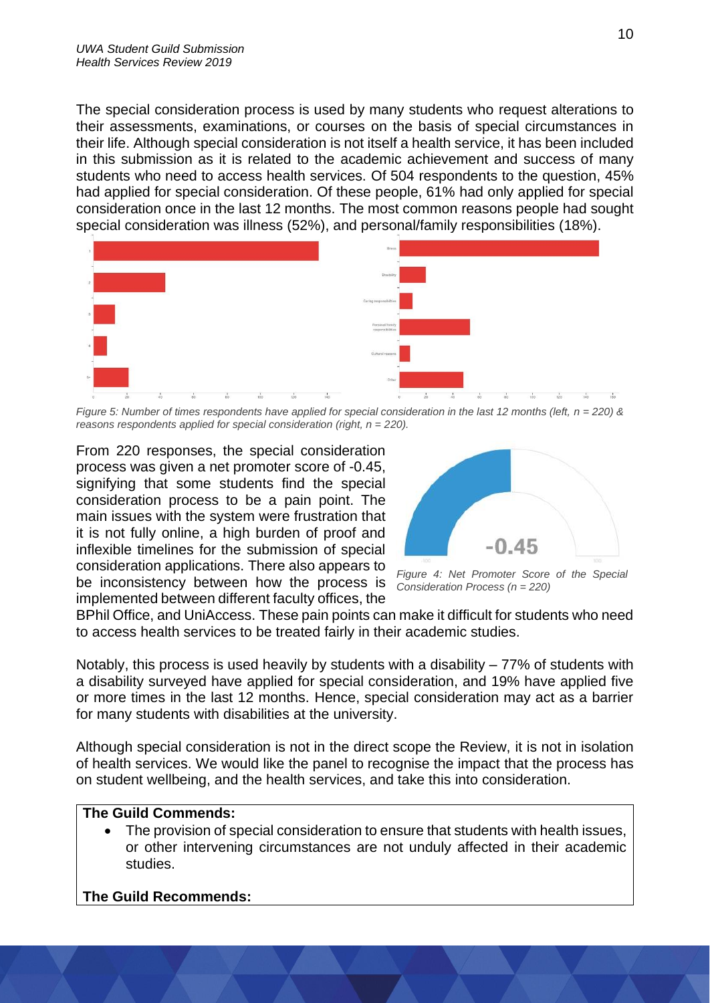The special consideration process is used by many students who request alterations to their assessments, examinations, or courses on the basis of special circumstances in their life. Although special consideration is not itself a health service, it has been included in this submission as it is related to the academic achievement and success of many students who need to access health services. Of 504 respondents to the question, 45% had applied for special consideration. Of these people, 61% had only applied for special consideration once in the last 12 months. The most common reasons people had sought special consideration was illness (52%), and personal/family responsibilities (18%).



*Figure 5: Number of times respondents have applied for special consideration in the last 12 months (left, n = 220) & reasons respondents applied for special consideration (right, n = 220).*

From 220 responses, the special consideration process was given a net promoter score of -0.45, signifying that some students find the special consideration process to be a pain point. The main issues with the system were frustration that it is not fully online, a high burden of proof and inflexible timelines for the submission of special consideration applications. There also appears to be inconsistency between how the process is implemented between different faculty offices, the



*Figure 4: Net Promoter Score of the Special Consideration Process (n = 220)*

BPhil Office, and UniAccess. These pain points can make it difficult for students who need to access health services to be treated fairly in their academic studies.

Notably, this process is used heavily by students with a disability  $-77\%$  of students with a disability surveyed have applied for special consideration, and 19% have applied five or more times in the last 12 months. Hence, special consideration may act as a barrier for many students with disabilities at the university.

Although special consideration is not in the direct scope the Review, it is not in isolation of health services. We would like the panel to recognise the impact that the process has on student wellbeing, and the health services, and take this into consideration.

#### **The Guild Commends:**

• The provision of special consideration to ensure that students with health issues, or other intervening circumstances are not unduly affected in their academic studies.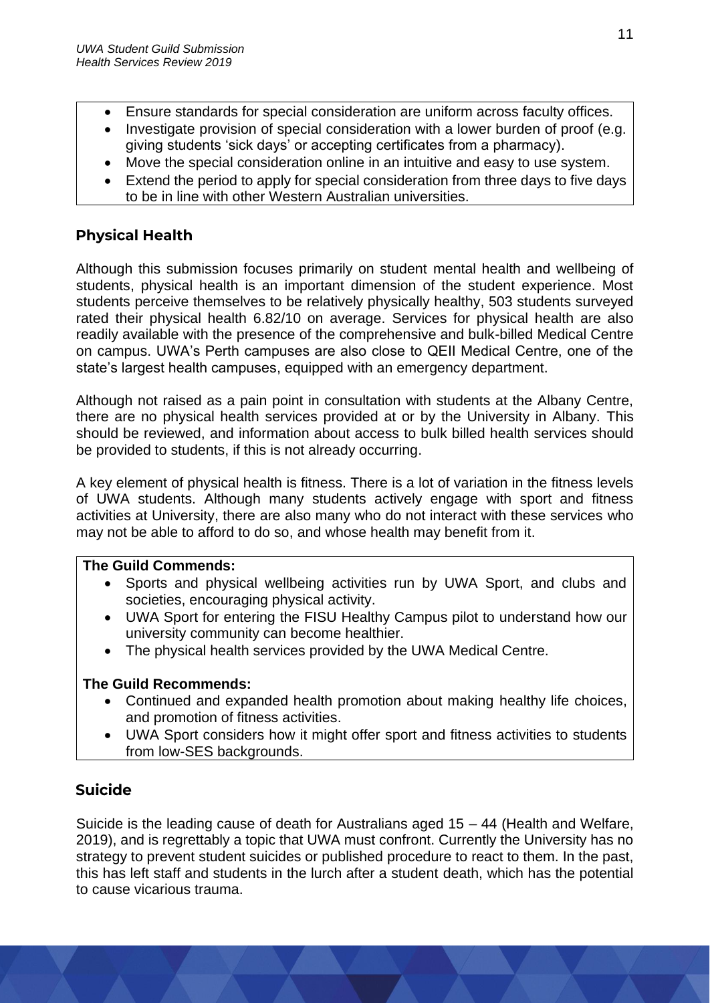- Ensure standards for special consideration are uniform across faculty offices.
- Investigate provision of special consideration with a lower burden of proof (e.g. giving students 'sick days' or accepting certificates from a pharmacy).
- Move the special consideration online in an intuitive and easy to use system.
- Extend the period to apply for special consideration from three days to five days to be in line with other Western Australian universities.

# <span id="page-10-0"></span>**Physical Health**

Although this submission focuses primarily on student mental health and wellbeing of students, physical health is an important dimension of the student experience. Most students perceive themselves to be relatively physically healthy, 503 students surveyed rated their physical health 6.82/10 on average. Services for physical health are also readily available with the presence of the comprehensive and bulk-billed Medical Centre on campus. UWA's Perth campuses are also close to QEII Medical Centre, one of the state's largest health campuses, equipped with an emergency department.

Although not raised as a pain point in consultation with students at the Albany Centre, there are no physical health services provided at or by the University in Albany. This should be reviewed, and information about access to bulk billed health services should be provided to students, if this is not already occurring.

A key element of physical health is fitness. There is a lot of variation in the fitness levels of UWA students. Although many students actively engage with sport and fitness activities at University, there are also many who do not interact with these services who may not be able to afford to do so, and whose health may benefit from it.

### **The Guild Commends:**

- Sports and physical wellbeing activities run by UWA Sport, and clubs and societies, encouraging physical activity.
- UWA Sport for entering the FISU Healthy Campus pilot to understand how our university community can become healthier.
- The physical health services provided by the UWA Medical Centre.

# **The Guild Recommends:**

- Continued and expanded health promotion about making healthy life choices, and promotion of fitness activities.
- UWA Sport considers how it might offer sport and fitness activities to students from low-SES backgrounds.

# <span id="page-10-1"></span>**Suicide**

Suicide is the leading cause of death for Australians aged 15 – 44 (Health and Welfare, 2019), and is regrettably a topic that UWA must confront. Currently the University has no strategy to prevent student suicides or published procedure to react to them. In the past, this has left staff and students in the lurch after a student death, which has the potential to cause vicarious trauma.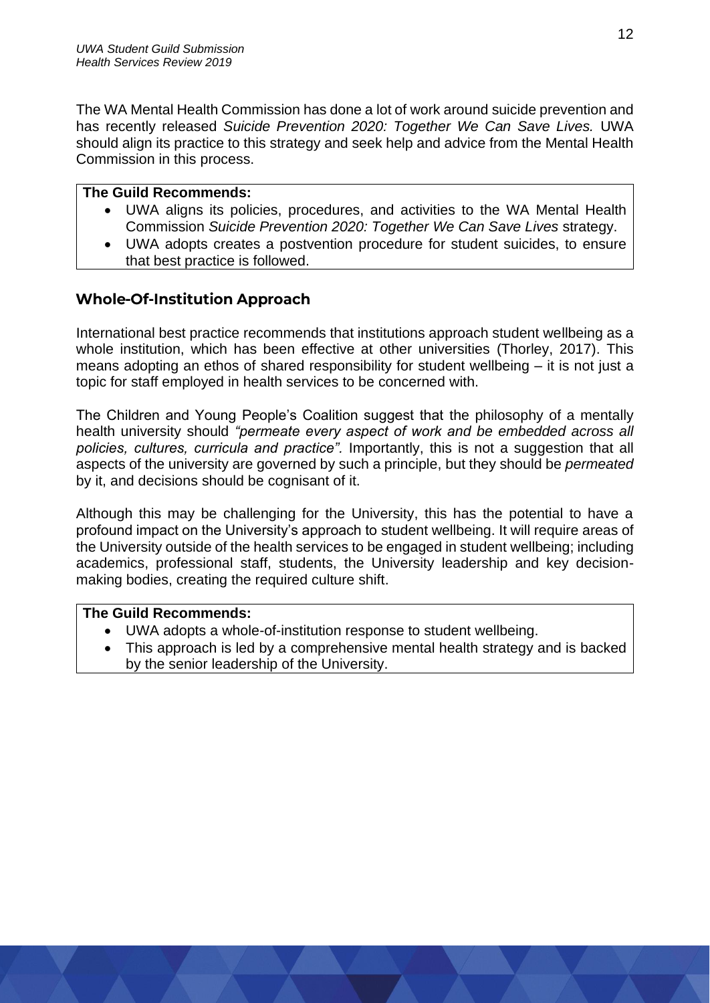The WA Mental Health Commission has done a lot of work around suicide prevention and has recently released *Suicide Prevention 2020: Together We Can Save Lives.* UWA should align its practice to this strategy and seek help and advice from the Mental Health Commission in this process.

#### **The Guild Recommends:**

- UWA aligns its policies, procedures, and activities to the WA Mental Health Commission *Suicide Prevention 2020: Together We Can Save Lives* strategy.
- UWA adopts creates a postvention procedure for student suicides, to ensure that best practice is followed.

## <span id="page-11-0"></span>**Whole-Of-Institution Approach**

International best practice recommends that institutions approach student wellbeing as a whole institution, which has been effective at other universities (Thorley, 2017). This means adopting an ethos of shared responsibility for student wellbeing – it is not just a topic for staff employed in health services to be concerned with.

The Children and Young People's Coalition suggest that the philosophy of a mentally health university should *"permeate every aspect of work and be embedded across all policies, cultures, curricula and practice".* Importantly, this is not a suggestion that all aspects of the university are governed by such a principle, but they should be *permeated*  by it, and decisions should be cognisant of it.

Although this may be challenging for the University, this has the potential to have a profound impact on the University's approach to student wellbeing. It will require areas of the University outside of the health services to be engaged in student wellbeing; including academics, professional staff, students, the University leadership and key decisionmaking bodies, creating the required culture shift.

- UWA adopts a whole-of-institution response to student wellbeing.
- This approach is led by a comprehensive mental health strategy and is backed by the senior leadership of the University.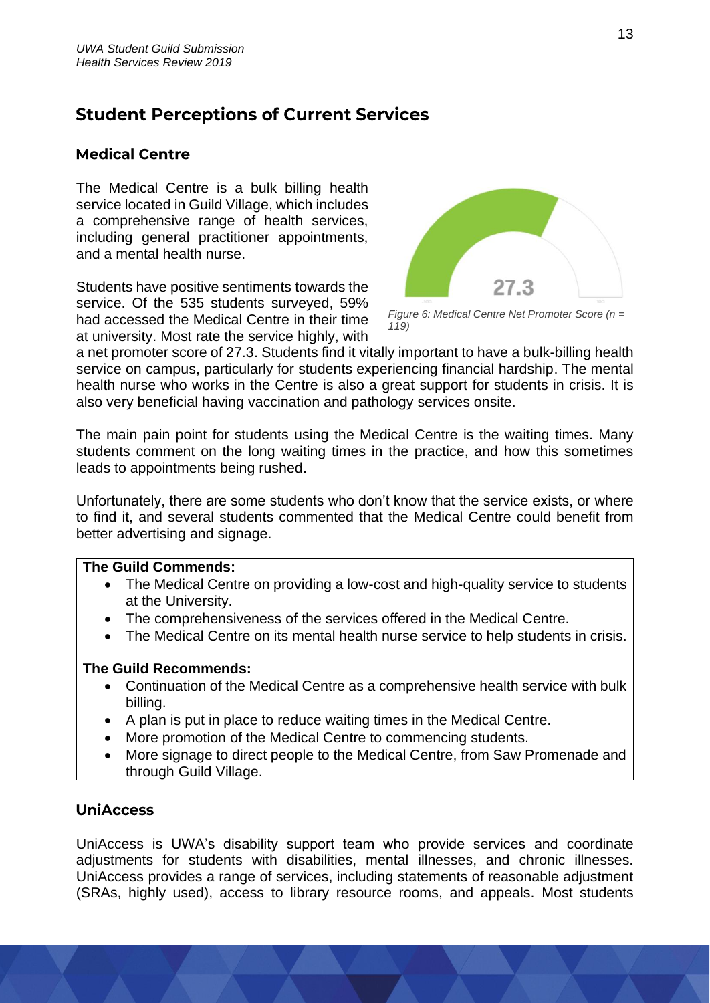# <span id="page-12-0"></span>**Student Perceptions of Current Services**

## <span id="page-12-1"></span>**Medical Centre**

The Medical Centre is a bulk billing health service located in Guild Village, which includes a comprehensive range of health services, including general practitioner appointments, and a mental health nurse.

Students have positive sentiments towards the service. Of the 535 students surveyed, 59% had accessed the Medical Centre in their time at university. Most rate the service highly, with



*Figure 6: Medical Centre Net Promoter Score (n = 119)*

a net promoter score of 27.3. Students find it vitally important to have a bulk-billing health service on campus, particularly for students experiencing financial hardship. The mental health nurse who works in the Centre is also a great support for students in crisis. It is also very beneficial having vaccination and pathology services onsite.

The main pain point for students using the Medical Centre is the waiting times. Many students comment on the long waiting times in the practice, and how this sometimes leads to appointments being rushed.

Unfortunately, there are some students who don't know that the service exists, or where to find it, and several students commented that the Medical Centre could benefit from better advertising and signage.

#### **The Guild Commends:**

- The Medical Centre on providing a low-cost and high-quality service to students at the University.
- The comprehensiveness of the services offered in the Medical Centre.
- The Medical Centre on its mental health nurse service to help students in crisis.

#### **The Guild Recommends:**

- Continuation of the Medical Centre as a comprehensive health service with bulk billing.
- A plan is put in place to reduce waiting times in the Medical Centre.
- More promotion of the Medical Centre to commencing students.
- More signage to direct people to the Medical Centre, from Saw Promenade and through Guild Village.

# <span id="page-12-2"></span>**UniAccess**

UniAccess is UWA's disability support team who provide services and coordinate adjustments for students with disabilities, mental illnesses, and chronic illnesses. UniAccess provides a range of services, including statements of reasonable adjustment (SRAs, highly used), access to library resource rooms, and appeals. Most students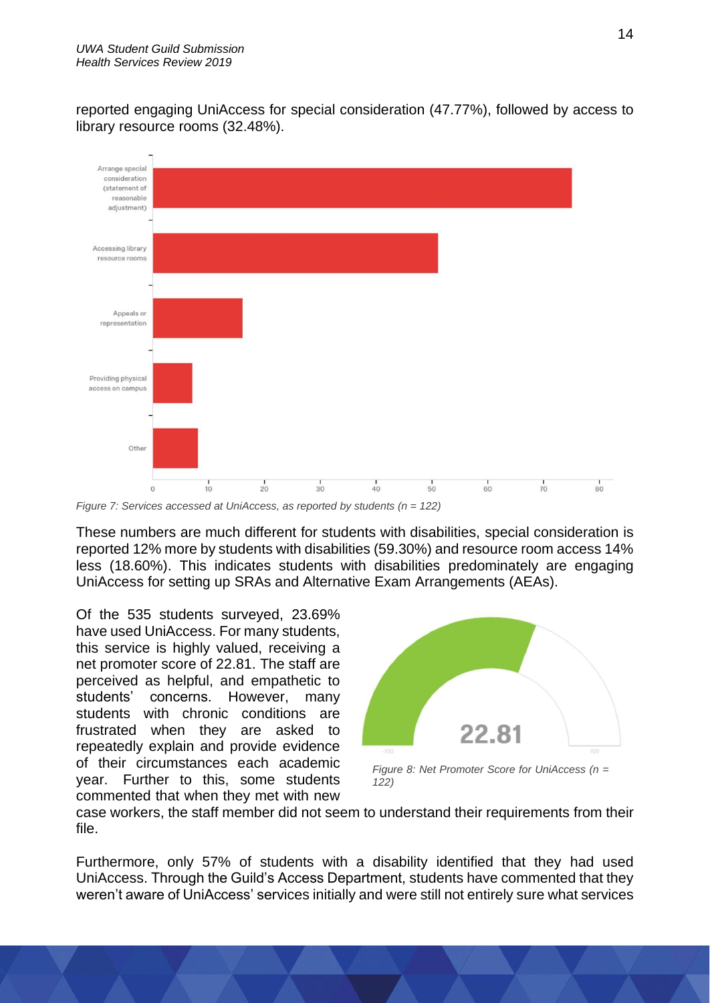reported engaging UniAccess for special consideration (47.77%), followed by access to library resource rooms (32.48%).



*Figure 7: Services accessed at UniAccess, as reported by students (n = 122)*

These numbers are much different for students with disabilities, special consideration is reported 12% more by students with disabilities (59.30%) and resource room access 14% less (18.60%). This indicates students with disabilities predominately are engaging UniAccess for setting up SRAs and Alternative Exam Arrangements (AEAs).

Of the 535 students surveyed, 23.69% have used UniAccess. For many students, this service is highly valued, receiving a net promoter score of 22.81. The staff are perceived as helpful, and empathetic to students' concerns. However, many students with chronic conditions are frustrated when they are asked to repeatedly explain and provide evidence of their circumstances each academic year. Further to this, some students commented that when they met with new



*Figure 8: Net Promoter Score for UniAccess (n = 122)*

case workers, the staff member did not seem to understand their requirements from their file.

Furthermore, only 57% of students with a disability identified that they had used UniAccess. Through the Guild's Access Department, students have commented that they weren't aware of UniAccess' services initially and were still not entirely sure what services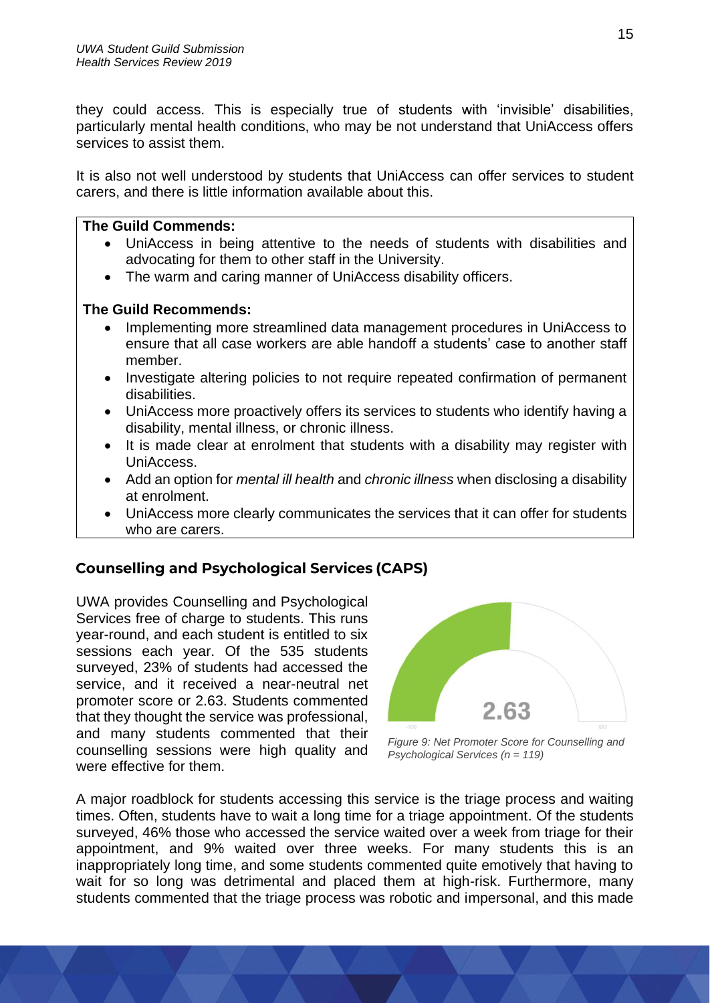they could access. This is especially true of students with 'invisible' disabilities, particularly mental health conditions, who may be not understand that UniAccess offers services to assist them.

It is also not well understood by students that UniAccess can offer services to student carers, and there is little information available about this.

#### **The Guild Commends:**

- UniAccess in being attentive to the needs of students with disabilities and advocating for them to other staff in the University.
- The warm and caring manner of UniAccess disability officers.

### **The Guild Recommends:**

- Implementing more streamlined data management procedures in UniAccess to ensure that all case workers are able handoff a students' case to another staff member.
- Investigate altering policies to not require repeated confirmation of permanent disabilities.
- UniAccess more proactively offers its services to students who identify having a disability, mental illness, or chronic illness.
- It is made clear at enrolment that students with a disability may register with UniAccess.
- Add an option for *mental ill health* and *chronic illness* when disclosing a disability at enrolment.
- UniAccess more clearly communicates the services that it can offer for students who are carers.

# <span id="page-14-0"></span>**Counselling and Psychological Services (CAPS)**

UWA provides Counselling and Psychological Services free of charge to students. This runs year-round, and each student is entitled to six sessions each year. Of the 535 students surveyed, 23% of students had accessed the service, and it received a near-neutral net promoter score or 2.63. Students commented that they thought the service was professional, and many students commented that their counselling sessions were high quality and were effective for them.



*Figure 9: Net Promoter Score for Counselling and Psychological Services (n = 119)*

A major roadblock for students accessing this service is the triage process and waiting times. Often, students have to wait a long time for a triage appointment. Of the students surveyed, 46% those who accessed the service waited over a week from triage for their appointment, and 9% waited over three weeks. For many students this is an inappropriately long time, and some students commented quite emotively that having to wait for so long was detrimental and placed them at high-risk. Furthermore, many students commented that the triage process was robotic and impersonal, and this made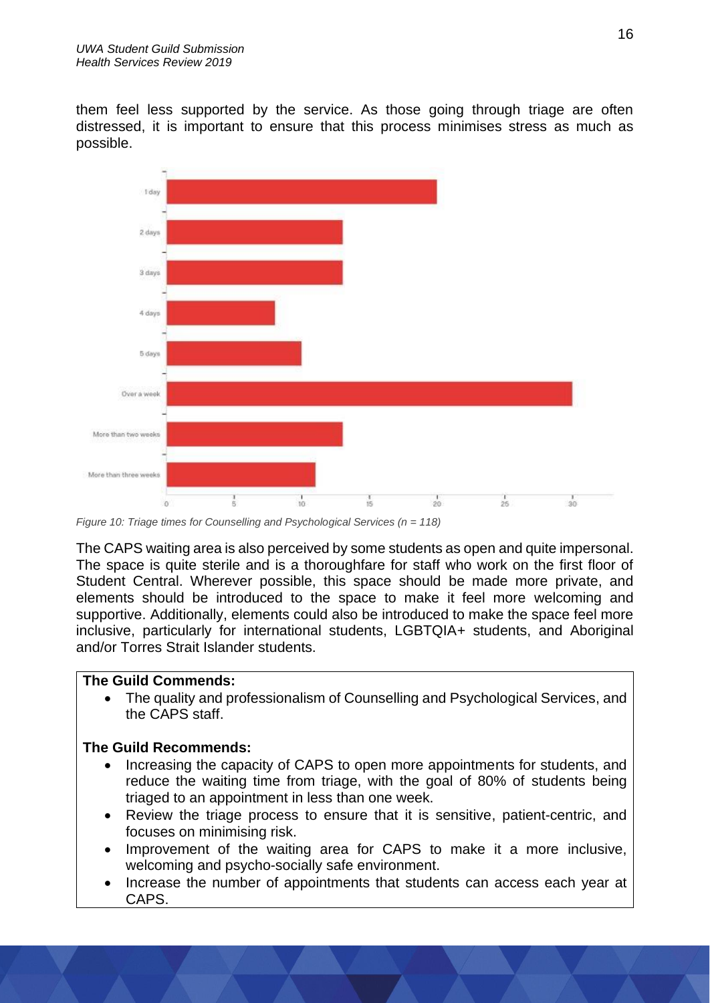them feel less supported by the service. As those going through triage are often distressed, it is important to ensure that this process minimises stress as much as possible.



*Figure 10: Triage times for Counselling and Psychological Services (n = 118)*

The CAPS waiting area is also perceived by some students as open and quite impersonal. The space is quite sterile and is a thoroughfare for staff who work on the first floor of Student Central. Wherever possible, this space should be made more private, and elements should be introduced to the space to make it feel more welcoming and supportive. Additionally, elements could also be introduced to make the space feel more inclusive, particularly for international students, LGBTQIA+ students, and Aboriginal and/or Torres Strait Islander students.

#### **The Guild Commends:**

• The quality and professionalism of Counselling and Psychological Services, and the CAPS staff.

- Increasing the capacity of CAPS to open more appointments for students, and reduce the waiting time from triage, with the goal of 80% of students being triaged to an appointment in less than one week.
- Review the triage process to ensure that it is sensitive, patient-centric, and focuses on minimising risk.
- Improvement of the waiting area for CAPS to make it a more inclusive, welcoming and psycho-socially safe environment.
- Increase the number of appointments that students can access each year at CAPS.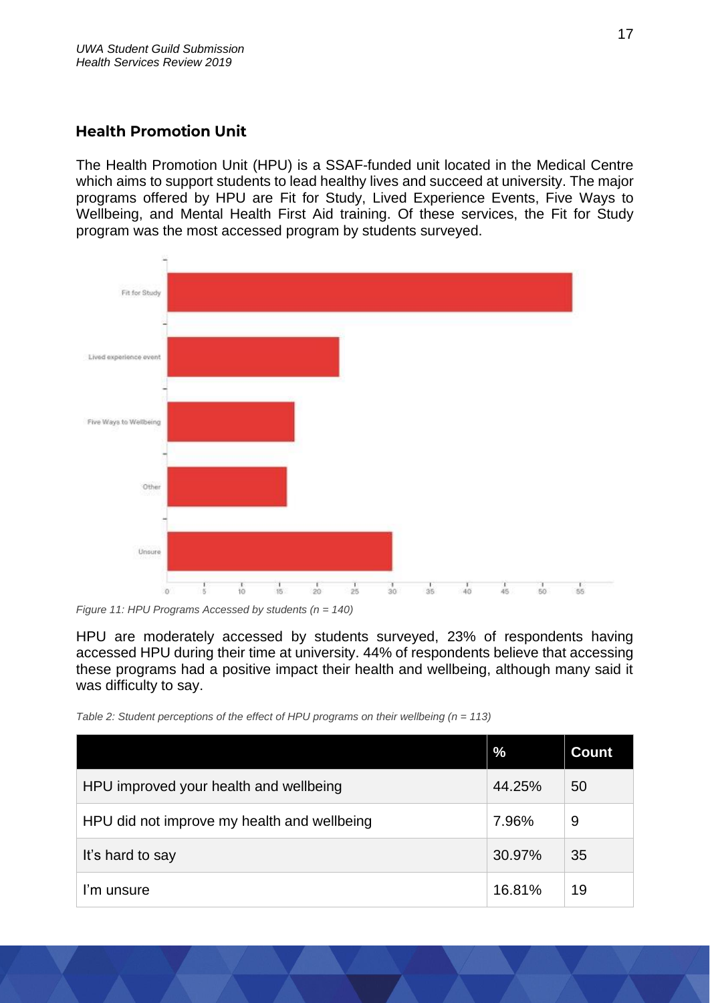# <span id="page-16-0"></span>**Health Promotion Unit**

The Health Promotion Unit (HPU) is a SSAF-funded unit located in the Medical Centre which aims to support students to lead healthy lives and succeed at university. The major programs offered by HPU are Fit for Study, Lived Experience Events, Five Ways to Wellbeing, and Mental Health First Aid training. Of these services, the Fit for Study program was the most accessed program by students surveyed.



*Figure 11: HPU Programs Accessed by students (n = 140)*

HPU are moderately accessed by students surveyed, 23% of respondents having accessed HPU during their time at university. 44% of respondents believe that accessing these programs had a positive impact their health and wellbeing, although many said it was difficulty to say.

*Table 2: Student perceptions of the effect of HPU programs on their wellbeing (n = 113)*

|                                             | $\frac{9}{6}$ | <b>Count</b> |
|---------------------------------------------|---------------|--------------|
| HPU improved your health and wellbeing      | 44.25%        | 50           |
| HPU did not improve my health and wellbeing | 7.96%         | 9            |
| It's hard to say                            | 30.97%        | 35           |
| I'm unsure                                  | 16.81%        | 19           |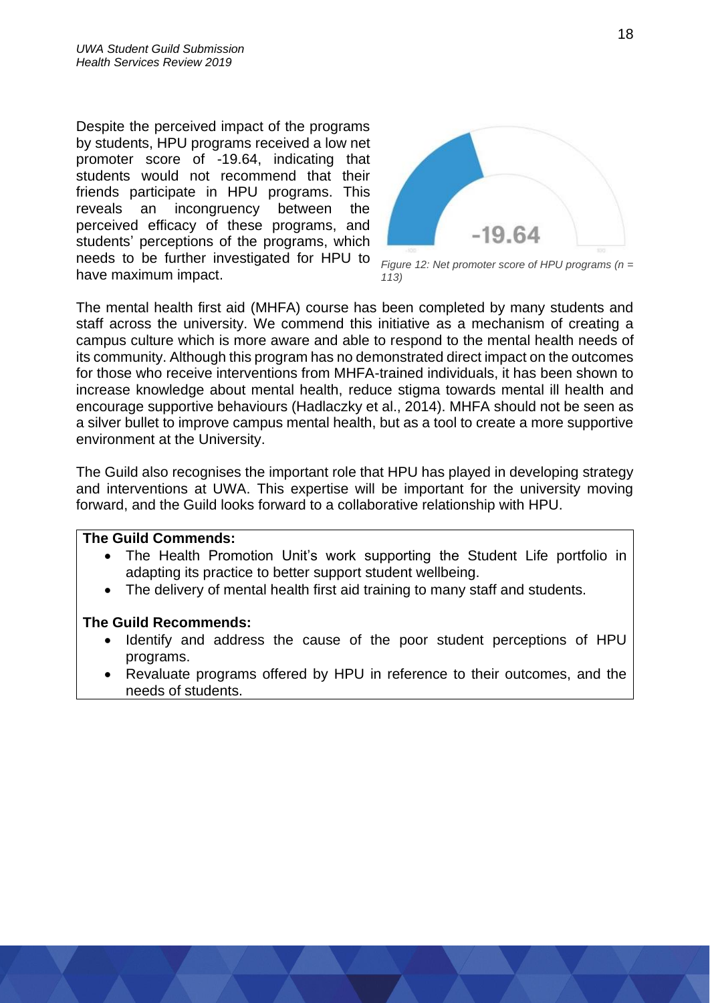Despite the perceived impact of the programs by students, HPU programs received a low net promoter score of -19.64, indicating that students would not recommend that their friends participate in HPU programs. This reveals an incongruency between the perceived efficacy of these programs, and students' perceptions of the programs, which needs to be further investigated for HPU to have maximum impact.



*Figure 12: Net promoter score of HPU programs (n = 113)*

The mental health first aid (MHFA) course has been completed by many students and staff across the university. We commend this initiative as a mechanism of creating a campus culture which is more aware and able to respond to the mental health needs of its community. Although this program has no demonstrated direct impact on the outcomes for those who receive interventions from MHFA-trained individuals, it has been shown to increase knowledge about mental health, reduce stigma towards mental ill health and encourage supportive behaviours (Hadlaczky et al., 2014). MHFA should not be seen as a silver bullet to improve campus mental health, but as a tool to create a more supportive environment at the University.

The Guild also recognises the important role that HPU has played in developing strategy and interventions at UWA. This expertise will be important for the university moving forward, and the Guild looks forward to a collaborative relationship with HPU.

#### **The Guild Commends:**

- The Health Promotion Unit's work supporting the Student Life portfolio in adapting its practice to better support student wellbeing.
- The delivery of mental health first aid training to many staff and students.

- Identify and address the cause of the poor student perceptions of HPU programs.
- Revaluate programs offered by HPU in reference to their outcomes, and the needs of students.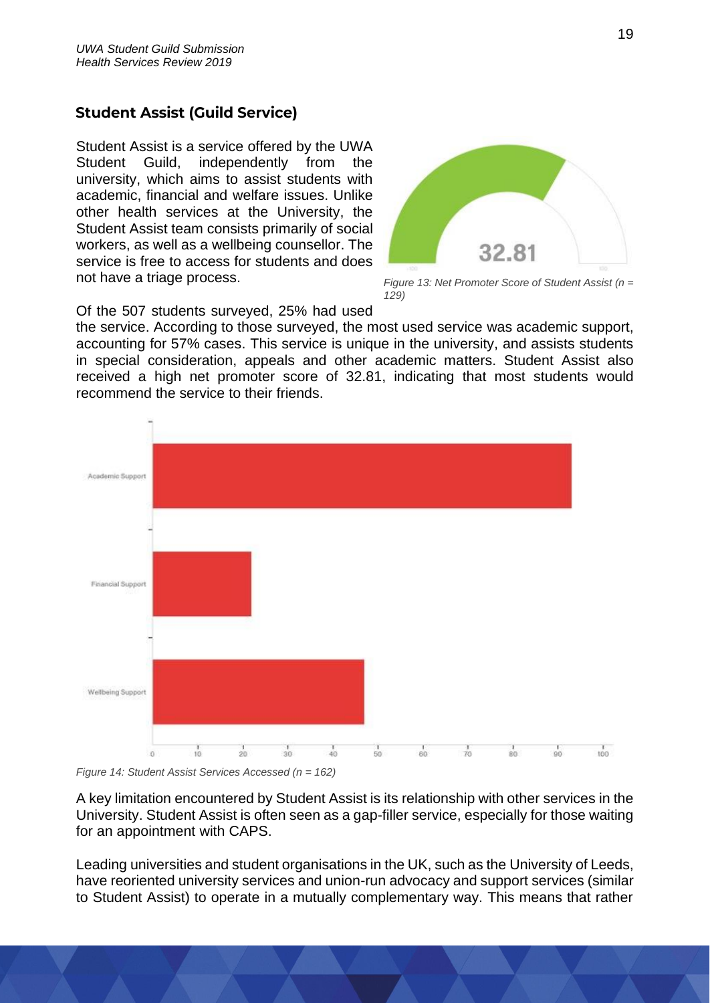# <span id="page-18-0"></span>**Student Assist (Guild Service)**

Student Assist is a service offered by the UWA Student Guild, independently from the university, which aims to assist students with academic, financial and welfare issues. Unlike other health services at the University, the Student Assist team consists primarily of social workers, as well as a wellbeing counsellor. The service is free to access for students and does not have a triage process.



*Figure 13: Net Promoter Score of Student Assist (n = 129)*

Of the 507 students surveyed, 25% had used

the service. According to those surveyed, the most used service was academic support, accounting for 57% cases. This service is unique in the university, and assists students in special consideration, appeals and other academic matters. Student Assist also received a high net promoter score of 32.81, indicating that most students would recommend the service to their friends.



*Figure 14: Student Assist Services Accessed (n = 162)*

A key limitation encountered by Student Assist is its relationship with other services in the University. Student Assist is often seen as a gap-filler service, especially for those waiting for an appointment with CAPS.

Leading universities and student organisations in the UK, such as the University of Leeds, have reoriented university services and union-run advocacy and support services (similar to Student Assist) to operate in a mutually complementary way. This means that rather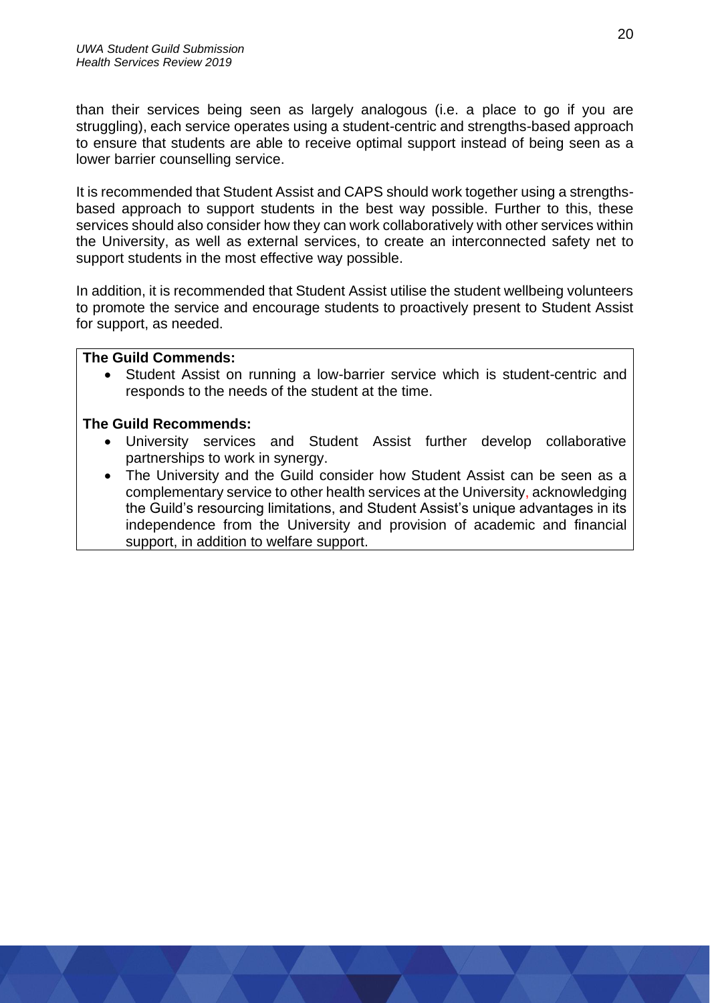than their services being seen as largely analogous (i.e. a place to go if you are struggling), each service operates using a student-centric and strengths-based approach to ensure that students are able to receive optimal support instead of being seen as a lower barrier counselling service.

It is recommended that Student Assist and CAPS should work together using a strengthsbased approach to support students in the best way possible. Further to this, these services should also consider how they can work collaboratively with other services within the University, as well as external services, to create an interconnected safety net to support students in the most effective way possible.

In addition, it is recommended that Student Assist utilise the student wellbeing volunteers to promote the service and encourage students to proactively present to Student Assist for support, as needed.

#### **The Guild Commends:**

Student Assist on running a low-barrier service which is student-centric and responds to the needs of the student at the time.

- University services and Student Assist further develop collaborative partnerships to work in synergy.
- The University and the Guild consider how Student Assist can be seen as a complementary service to other health services at the University, acknowledging the Guild's resourcing limitations, and Student Assist's unique advantages in its independence from the University and provision of academic and financial support, in addition to welfare support.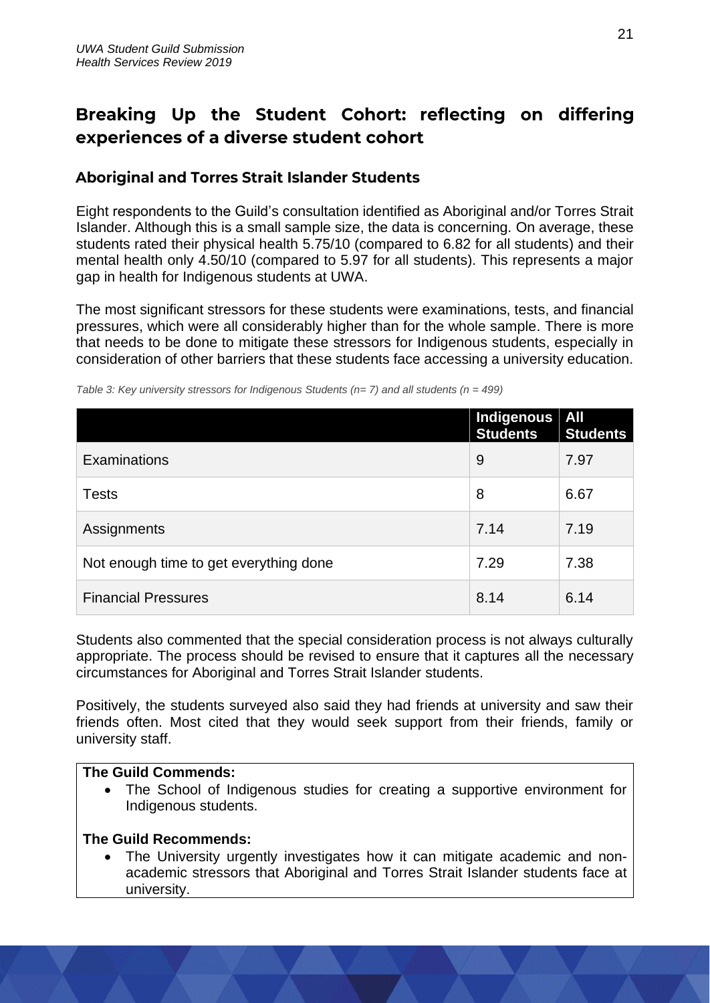# <span id="page-20-0"></span>Breaking Up the Student Cohort: reflecting on differing experiences of a diverse student cohort

# <span id="page-20-1"></span>**Aboriginal and Torres Strait Islander Students**

Eight respondents to the Guild's consultation identified as Aboriginal and/or Torres Strait Islander. Although this is a small sample size, the data is concerning. On average, these students rated their physical health 5.75/10 (compared to 6.82 for all students) and their mental health only 4.50/10 (compared to 5.97 for all students). This represents a major gap in health for Indigenous students at UWA.

The most significant stressors for these students were examinations, tests, and financial pressures, which were all considerably higher than for the whole sample. There is more that needs to be done to mitigate these stressors for Indigenous students, especially in consideration of other barriers that these students face accessing a university education.

|                                        | Indigenous   All<br><b>Students</b> | <b>Students</b> |
|----------------------------------------|-------------------------------------|-----------------|
| Examinations                           | 9                                   | 7.97            |
| <b>Tests</b>                           | 8                                   | 6.67            |
| Assignments                            | 7.14                                | 7.19            |
| Not enough time to get everything done | 7.29                                | 7.38            |
| <b>Financial Pressures</b>             | 8.14                                | 6.14            |

*Table 3: Key university stressors for Indigenous Students (n= 7) and all students (n = 499)*

Students also commented that the special consideration process is not always culturally appropriate. The process should be revised to ensure that it captures all the necessary circumstances for Aboriginal and Torres Strait Islander students.

Positively, the students surveyed also said they had friends at university and saw their friends often. Most cited that they would seek support from their friends, family or university staff.

### **The Guild Commends:**

• The School of Indigenous studies for creating a supportive environment for Indigenous students.

### **The Guild Recommends:**

• The University urgently investigates how it can mitigate academic and nonacademic stressors that Aboriginal and Torres Strait Islander students face at university.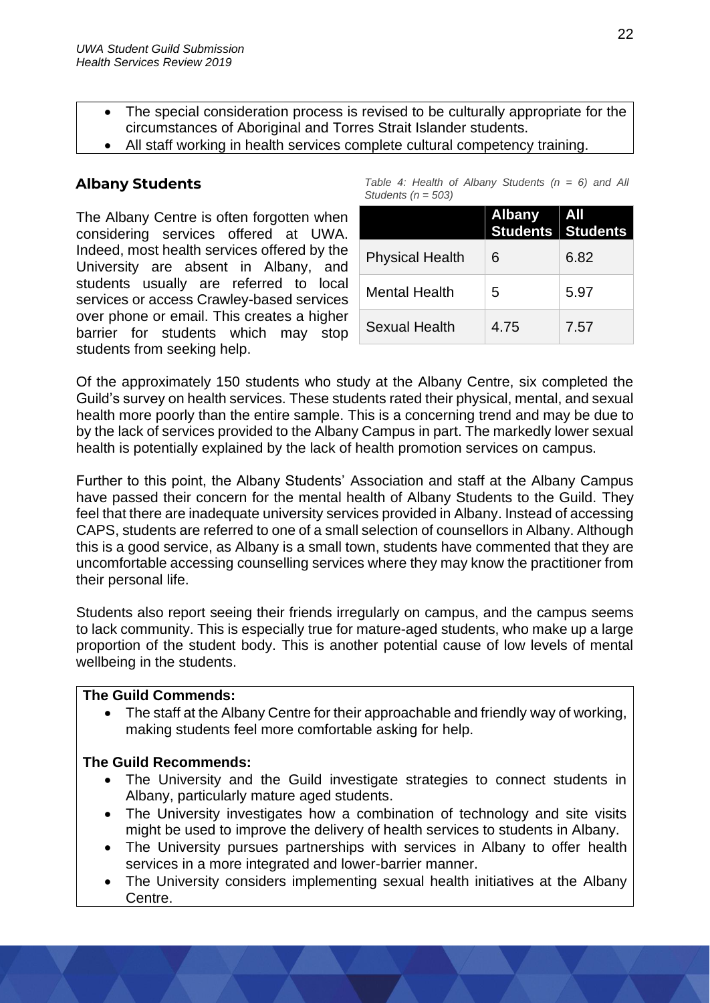- The special consideration process is revised to be culturally appropriate for the circumstances of Aboriginal and Torres Strait Islander students.
- All staff working in health services complete cultural competency training.

# <span id="page-21-0"></span>**Albany Students**

The Albany Centre is often forgotten when considering services offered at UWA. Indeed, most health services offered by the University are absent in Albany, and students usually are referred to local services or access Crawley-based services over phone or email. This creates a higher barrier for students which may stop students from seeking help.

|                        |  | Table 4: Health of Albany Students $(n = 6)$ and All |  |  |  |
|------------------------|--|------------------------------------------------------|--|--|--|
| Students ( $n = 503$ ) |  |                                                      |  |  |  |

|                        | <b>Albany</b> | ∣ All<br>Students Students |
|------------------------|---------------|----------------------------|
| <b>Physical Health</b> | 6             | 6.82                       |
| <b>Mental Health</b>   | 5             | 5.97                       |
| Sexual Health          | 4.75          | 7.57                       |

Of the approximately 150 students who study at the Albany Centre, six completed the Guild's survey on health services. These students rated their physical, mental, and sexual health more poorly than the entire sample. This is a concerning trend and may be due to by the lack of services provided to the Albany Campus in part. The markedly lower sexual health is potentially explained by the lack of health promotion services on campus.

Further to this point, the Albany Students' Association and staff at the Albany Campus have passed their concern for the mental health of Albany Students to the Guild. They feel that there are inadequate university services provided in Albany. Instead of accessing CAPS, students are referred to one of a small selection of counsellors in Albany. Although this is a good service, as Albany is a small town, students have commented that they are uncomfortable accessing counselling services where they may know the practitioner from their personal life.

Students also report seeing their friends irregularly on campus, and the campus seems to lack community. This is especially true for mature-aged students, who make up a large proportion of the student body. This is another potential cause of low levels of mental wellbeing in the students.

#### **The Guild Commends:**

• The staff at the Albany Centre for their approachable and friendly way of working, making students feel more comfortable asking for help.

- The University and the Guild investigate strategies to connect students in Albany, particularly mature aged students.
- The University investigates how a combination of technology and site visits might be used to improve the delivery of health services to students in Albany.
- The University pursues partnerships with services in Albany to offer health services in a more integrated and lower-barrier manner.
- The University considers implementing sexual health initiatives at the Albany Centre.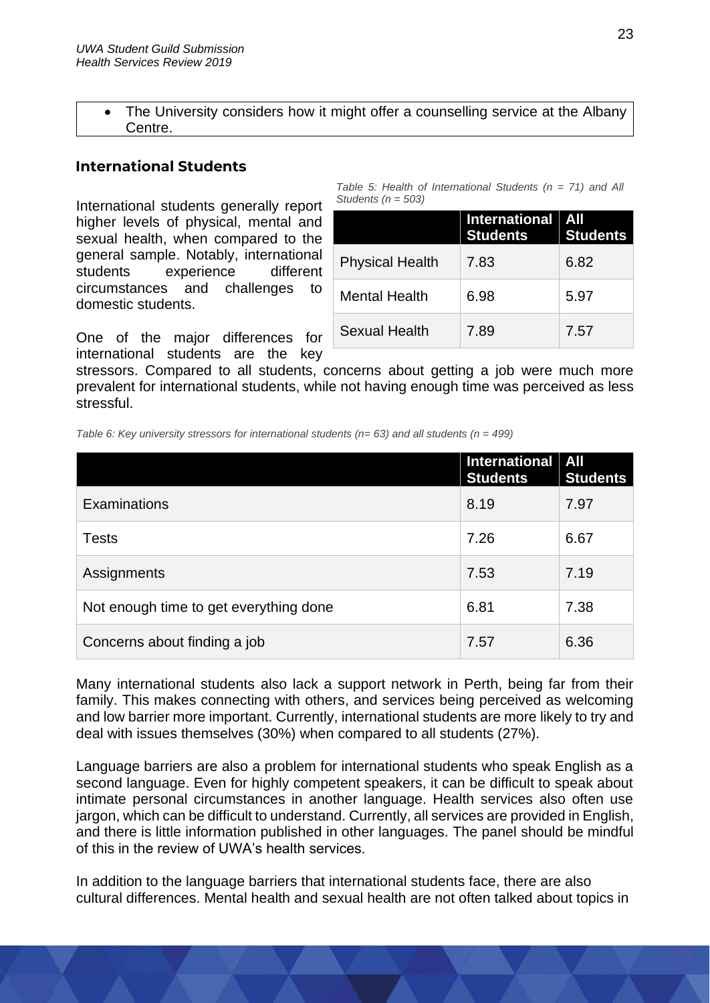The University considers how it might offer a counselling service at the Albany Centre.

### <span id="page-22-0"></span>**International Students**

International students generally report higher levels of physical, mental and sexual health, when compared to the general sample. Notably, international students experience different circumstances and challenges to domestic students.

One of the major differences for international students are the key

*Table 5: Health of International Students (n = 71) and All Students (n = 503)*

|                        | <b>International</b><br><b>Students</b> | All<br><b>Students</b> |
|------------------------|-----------------------------------------|------------------------|
| <b>Physical Health</b> | 7.83                                    | 6.82                   |
| <b>Mental Health</b>   | 6.98                                    | 5.97                   |
| Sexual Health          | 7.89                                    | 7.57                   |

stressors. Compared to all students, concerns about getting a job were much more prevalent for international students, while not having enough time was perceived as less stressful.

*Table 6: Key university stressors for international students (n= 63) and all students (n = 499)*

|                                        | International   All<br><b>Students</b> | <b>Students</b> |
|----------------------------------------|----------------------------------------|-----------------|
| <b>Examinations</b>                    | 8.19                                   | 7.97            |
| <b>Tests</b>                           | 7.26                                   | 6.67            |
| Assignments                            | 7.53                                   | 7.19            |
| Not enough time to get everything done | 6.81                                   | 7.38            |
| Concerns about finding a job           | 7.57                                   | 6.36            |

Many international students also lack a support network in Perth, being far from their family. This makes connecting with others, and services being perceived as welcoming and low barrier more important. Currently, international students are more likely to try and deal with issues themselves (30%) when compared to all students (27%).

Language barriers are also a problem for international students who speak English as a second language. Even for highly competent speakers, it can be difficult to speak about intimate personal circumstances in another language. Health services also often use jargon, which can be difficult to understand. Currently, all services are provided in English, and there is little information published in other languages. The panel should be mindful of this in the review of UWA's health services.

In addition to the language barriers that international students face, there are also cultural differences. Mental health and sexual health are not often talked about topics in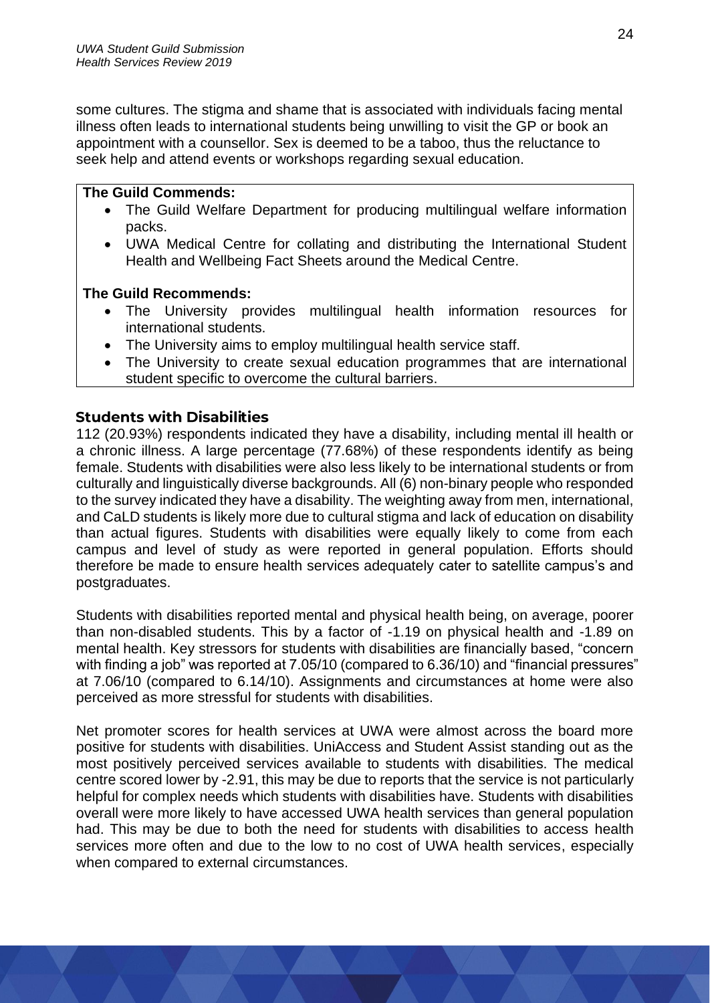some cultures. The stigma and shame that is associated with individuals facing mental illness often leads to international students being unwilling to visit the GP or book an appointment with a counsellor. Sex is deemed to be a taboo, thus the reluctance to seek help and attend events or workshops regarding sexual education.

#### **The Guild Commends:**

- The Guild Welfare Department for producing multilingual welfare information packs.
- UWA Medical Centre for collating and distributing the International Student Health and Wellbeing Fact Sheets around the Medical Centre.

#### **The Guild Recommends:**

- The University provides multilingual health information resources for international students.
- The University aims to employ multilingual health service staff.
- The University to create sexual education programmes that are international student specific to overcome the cultural barriers.

#### <span id="page-23-0"></span>**Students with Disabilities**

112 (20.93%) respondents indicated they have a disability, including mental ill health or a chronic illness. A large percentage (77.68%) of these respondents identify as being female. Students with disabilities were also less likely to be international students or from culturally and linguistically diverse backgrounds. All (6) non-binary people who responded to the survey indicated they have a disability. The weighting away from men, international, and CaLD students is likely more due to cultural stigma and lack of education on disability than actual figures. Students with disabilities were equally likely to come from each campus and level of study as were reported in general population. Efforts should therefore be made to ensure health services adequately cater to satellite campus's and postgraduates.

Students with disabilities reported mental and physical health being, on average, poorer than non-disabled students. This by a factor of -1.19 on physical health and -1.89 on mental health. Key stressors for students with disabilities are financially based, "concern with finding a job" was reported at 7.05/10 (compared to 6.36/10) and "financial pressures" at 7.06/10 (compared to 6.14/10). Assignments and circumstances at home were also perceived as more stressful for students with disabilities.

Net promoter scores for health services at UWA were almost across the board more positive for students with disabilities. UniAccess and Student Assist standing out as the most positively perceived services available to students with disabilities. The medical centre scored lower by -2.91, this may be due to reports that the service is not particularly helpful for complex needs which students with disabilities have. Students with disabilities overall were more likely to have accessed UWA health services than general population had. This may be due to both the need for students with disabilities to access health services more often and due to the low to no cost of UWA health services, especially when compared to external circumstances.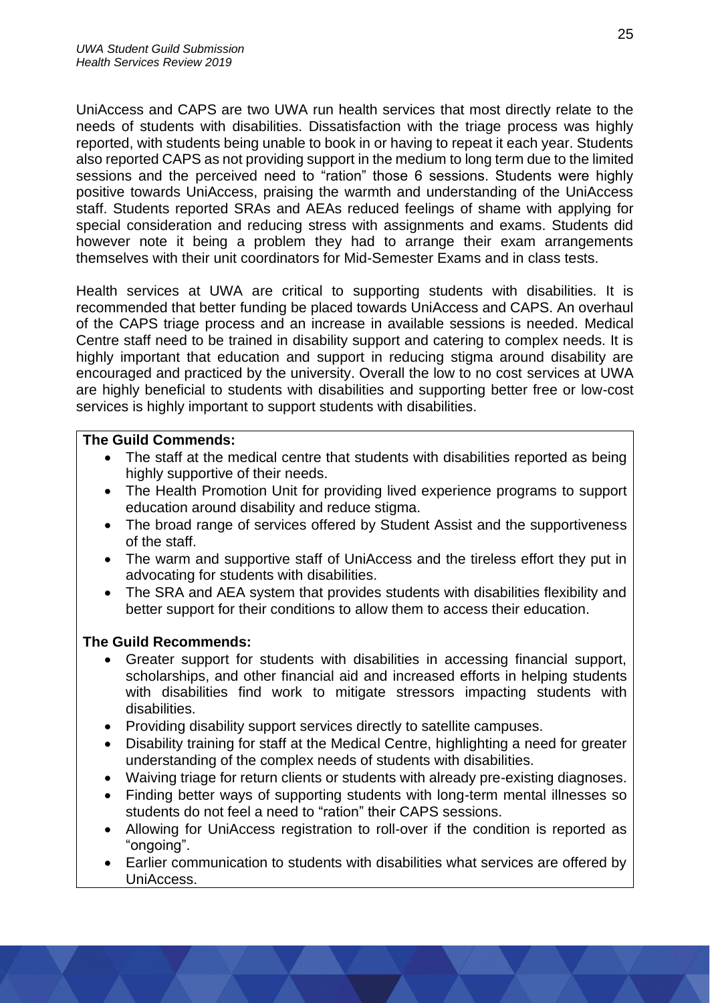UniAccess and CAPS are two UWA run health services that most directly relate to the needs of students with disabilities. Dissatisfaction with the triage process was highly reported, with students being unable to book in or having to repeat it each year. Students also reported CAPS as not providing support in the medium to long term due to the limited sessions and the perceived need to "ration" those 6 sessions. Students were highly positive towards UniAccess, praising the warmth and understanding of the UniAccess staff. Students reported SRAs and AEAs reduced feelings of shame with applying for special consideration and reducing stress with assignments and exams. Students did however note it being a problem they had to arrange their exam arrangements themselves with their unit coordinators for Mid-Semester Exams and in class tests.

Health services at UWA are critical to supporting students with disabilities. It is recommended that better funding be placed towards UniAccess and CAPS. An overhaul of the CAPS triage process and an increase in available sessions is needed. Medical Centre staff need to be trained in disability support and catering to complex needs. It is highly important that education and support in reducing stigma around disability are encouraged and practiced by the university. Overall the low to no cost services at UWA are highly beneficial to students with disabilities and supporting better free or low-cost services is highly important to support students with disabilities.

#### **The Guild Commends:**

- The staff at the medical centre that students with disabilities reported as being highly supportive of their needs.
- The Health Promotion Unit for providing lived experience programs to support education around disability and reduce stigma.
- The broad range of services offered by Student Assist and the supportiveness of the staff.
- The warm and supportive staff of UniAccess and the tireless effort they put in advocating for students with disabilities.
- The SRA and AEA system that provides students with disabilities flexibility and better support for their conditions to allow them to access their education.

- Greater support for students with disabilities in accessing financial support, scholarships, and other financial aid and increased efforts in helping students with disabilities find work to mitigate stressors impacting students with disabilities.
- Providing disability support services directly to satellite campuses.
- Disability training for staff at the Medical Centre, highlighting a need for greater understanding of the complex needs of students with disabilities.
- Waiving triage for return clients or students with already pre-existing diagnoses.
- Finding better ways of supporting students with long-term mental illnesses so students do not feel a need to "ration" their CAPS sessions.
- Allowing for UniAccess registration to roll-over if the condition is reported as "ongoing".
- Earlier communication to students with disabilities what services are offered by UniAccess.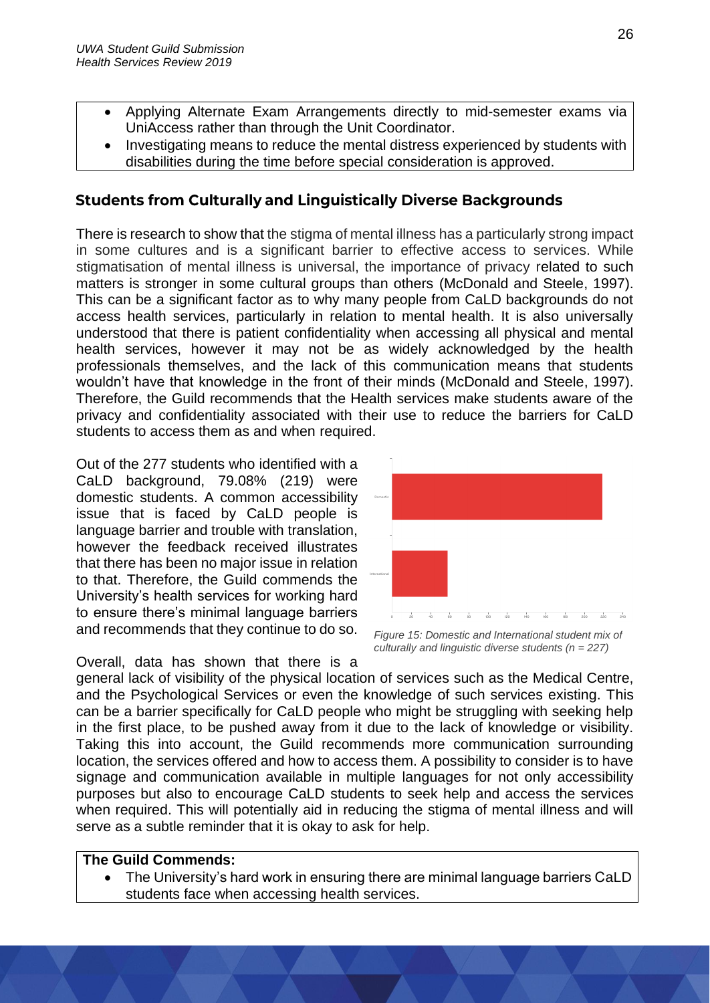- Applying Alternate Exam Arrangements directly to mid-semester exams via UniAccess rather than through the Unit Coordinator.
- Investigating means to reduce the mental distress experienced by students with disabilities during the time before special consideration is approved.

# <span id="page-25-0"></span>**Students from Culturally and Linguistically Diverse Backgrounds**

There is research to show that the stigma of mental illness has a particularly strong impact in some cultures and is a significant barrier to effective access to services. While stigmatisation of mental illness is universal, the importance of privacy related to such matters is stronger in some cultural groups than others (McDonald and Steele, 1997). This can be a significant factor as to why many people from CaLD backgrounds do not access health services, particularly in relation to mental health. It is also universally understood that there is patient confidentiality when accessing all physical and mental health services, however it may not be as widely acknowledged by the health professionals themselves, and the lack of this communication means that students wouldn't have that knowledge in the front of their minds (McDonald and Steele, 1997). Therefore, the Guild recommends that the Health services make students aware of the privacy and confidentiality associated with their use to reduce the barriers for CaLD students to access them as and when required.

Out of the 277 students who identified with a CaLD background, 79.08% (219) were domestic students. A common accessibility issue that is faced by CaLD people is language barrier and trouble with translation, however the feedback received illustrates that there has been no major issue in relation to that. Therefore, the Guild commends the University's health services for working hard to ensure there's minimal language barriers and recommends that they continue to do so.



*Figure 15: Domestic and International student mix of culturally and linguistic diverse students (n = 227)*

Overall, data has shown that there is a general lack of visibility of the physical location of services such as the Medical Centre, and the Psychological Services or even the knowledge of such services existing. This can be a barrier specifically for CaLD people who might be struggling with seeking help in the first place, to be pushed away from it due to the lack of knowledge or visibility. Taking this into account, the Guild recommends more communication surrounding location, the services offered and how to access them. A possibility to consider is to have signage and communication available in multiple languages for not only accessibility purposes but also to encourage CaLD students to seek help and access the services when required. This will potentially aid in reducing the stigma of mental illness and will serve as a subtle reminder that it is okay to ask for help.

#### **The Guild Commends:**

• The University's hard work in ensuring there are minimal language barriers CaLD students face when accessing health services.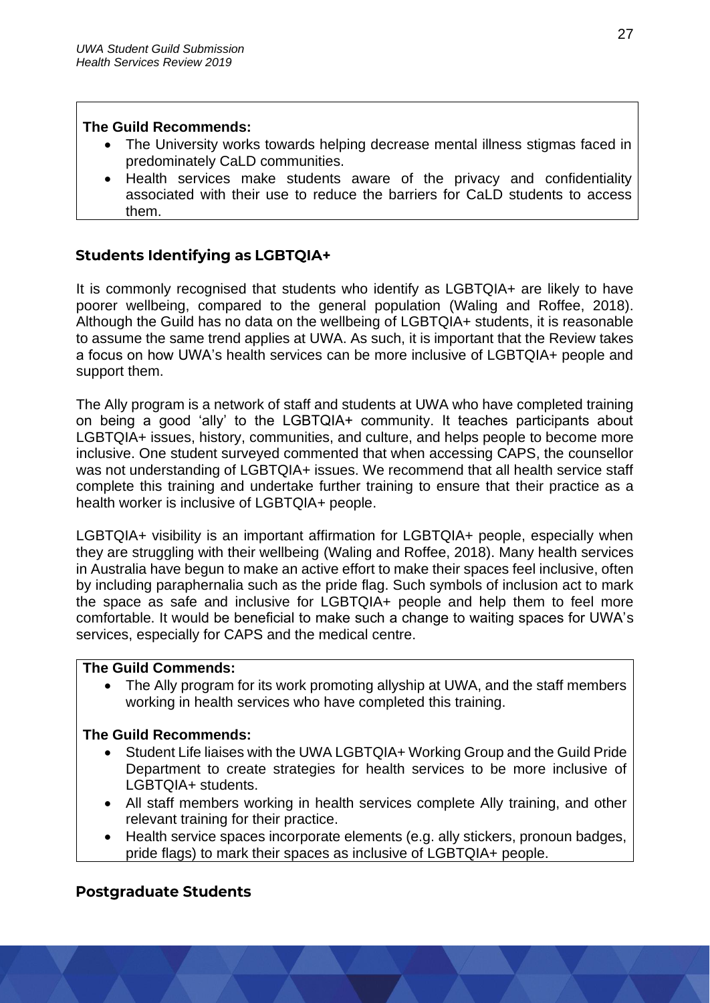#### **The Guild Recommends:**

- The University works towards helping decrease mental illness stigmas faced in predominately CaLD communities.
- Health services make students aware of the privacy and confidentiality associated with their use to reduce the barriers for CaLD students to access them.

# <span id="page-26-0"></span>**Students Identifying as LGBTQIA+**

It is commonly recognised that students who identify as LGBTQIA+ are likely to have poorer wellbeing, compared to the general population (Waling and Roffee, 2018). Although the Guild has no data on the wellbeing of LGBTQIA+ students, it is reasonable to assume the same trend applies at UWA. As such, it is important that the Review takes a focus on how UWA's health services can be more inclusive of LGBTQIA+ people and support them.

The Ally program is a network of staff and students at UWA who have completed training on being a good 'ally' to the LGBTQIA+ community. It teaches participants about LGBTQIA+ issues, history, communities, and culture, and helps people to become more inclusive. One student surveyed commented that when accessing CAPS, the counsellor was not understanding of LGBTQIA+ issues. We recommend that all health service staff complete this training and undertake further training to ensure that their practice as a health worker is inclusive of LGBTQIA+ people.

LGBTQIA+ visibility is an important affirmation for LGBTQIA+ people, especially when they are struggling with their wellbeing (Waling and Roffee, 2018). Many health services in Australia have begun to make an active effort to make their spaces feel inclusive, often by including paraphernalia such as the pride flag. Such symbols of inclusion act to mark the space as safe and inclusive for LGBTQIA+ people and help them to feel more comfortable. It would be beneficial to make such a change to waiting spaces for UWA's services, especially for CAPS and the medical centre.

### **The Guild Commends:**

• The Ally program for its work promoting allyship at UWA, and the staff members working in health services who have completed this training.

### **The Guild Recommends:**

- Student Life liaises with the UWA LGBTQIA+ Working Group and the Guild Pride Department to create strategies for health services to be more inclusive of LGBTQIA+ students.
- All staff members working in health services complete Ally training, and other relevant training for their practice.
- Health service spaces incorporate elements (e.g. ally stickers, pronoun badges, pride flags) to mark their spaces as inclusive of LGBTQIA+ people.

# <span id="page-26-1"></span>**Postgraduate Students**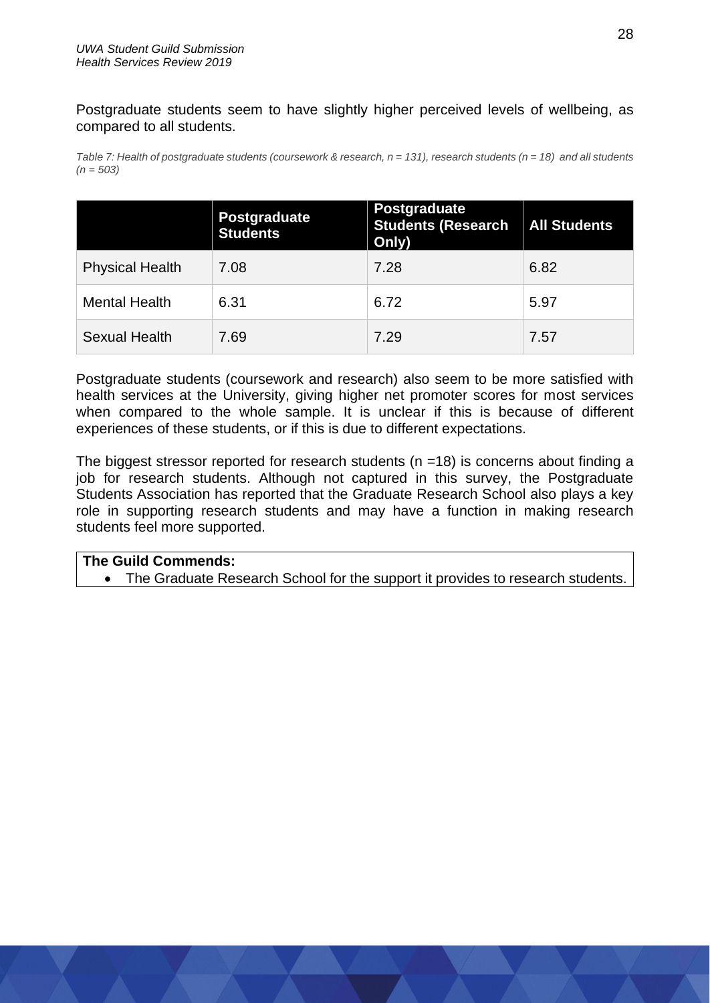Postgraduate students seem to have slightly higher perceived levels of wellbeing, as compared to all students.

*Table 7: Health of postgraduate students (coursework & research, n = 131), research students (n = 18) and all students (n = 503)*

|                        | Postgraduate<br><b>Students</b> | <b>Postgraduate</b><br><b>Students (Research</b><br>Only) | <b>All Students</b> |
|------------------------|---------------------------------|-----------------------------------------------------------|---------------------|
| <b>Physical Health</b> | 7.08                            | 7.28                                                      | 6.82                |
| <b>Mental Health</b>   | 6.31                            | 6.72                                                      | 5.97                |
| <b>Sexual Health</b>   | 7.69                            | 7.29                                                      | 7.57                |

Postgraduate students (coursework and research) also seem to be more satisfied with health services at the University, giving higher net promoter scores for most services when compared to the whole sample. It is unclear if this is because of different experiences of these students, or if this is due to different expectations.

The biggest stressor reported for research students ( $n = 18$ ) is concerns about finding a job for research students. Although not captured in this survey, the Postgraduate Students Association has reported that the Graduate Research School also plays a key role in supporting research students and may have a function in making research students feel more supported.

#### **The Guild Commends:**

• The Graduate Research School for the support it provides to research students.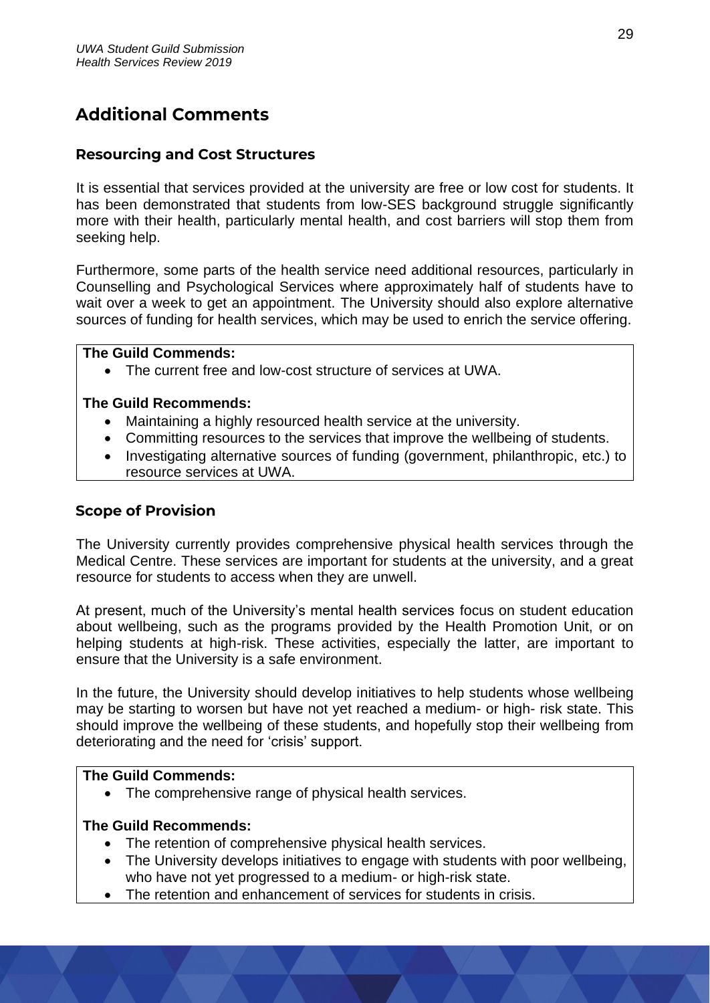# <span id="page-28-0"></span>**Additional Comments**

### <span id="page-28-1"></span>**Resourcing and Cost Structures**

It is essential that services provided at the university are free or low cost for students. It has been demonstrated that students from low-SES background struggle significantly more with their health, particularly mental health, and cost barriers will stop them from seeking help.

Furthermore, some parts of the health service need additional resources, particularly in Counselling and Psychological Services where approximately half of students have to wait over a week to get an appointment. The University should also explore alternative sources of funding for health services, which may be used to enrich the service offering.

#### **The Guild Commends:**

• The current free and low-cost structure of services at UWA.

#### **The Guild Recommends:**

- Maintaining a highly resourced health service at the university.
- Committing resources to the services that improve the wellbeing of students.
- Investigating alternative sources of funding (government, philanthropic, etc.) to resource services at UWA.

## <span id="page-28-2"></span>**Scope of Provision**

The University currently provides comprehensive physical health services through the Medical Centre. These services are important for students at the university, and a great resource for students to access when they are unwell.

At present, much of the University's mental health services focus on student education about wellbeing, such as the programs provided by the Health Promotion Unit, or on helping students at high-risk. These activities, especially the latter, are important to ensure that the University is a safe environment.

In the future, the University should develop initiatives to help students whose wellbeing may be starting to worsen but have not yet reached a medium- or high- risk state. This should improve the wellbeing of these students, and hopefully stop their wellbeing from deteriorating and the need for 'crisis' support.

#### **The Guild Commends:**

• The comprehensive range of physical health services.

- The retention of comprehensive physical health services.
- The University develops initiatives to engage with students with poor wellbeing, who have not yet progressed to a medium- or high-risk state.
- The retention and enhancement of services for students in crisis.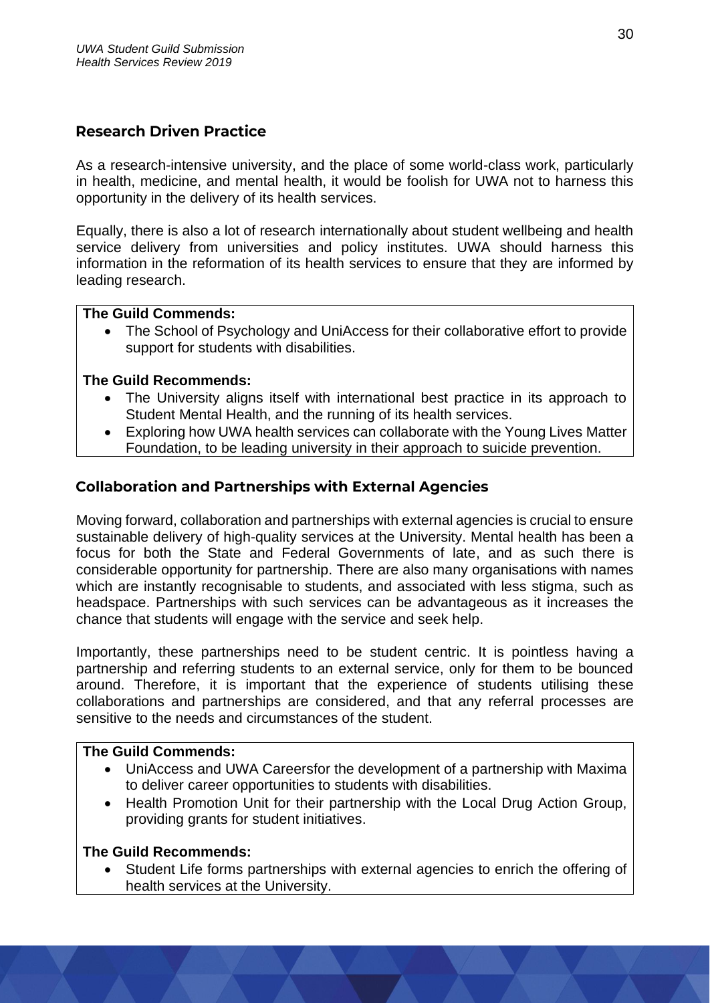## <span id="page-29-0"></span>**Research Driven Practice**

As a research-intensive university, and the place of some world-class work, particularly in health, medicine, and mental health, it would be foolish for UWA not to harness this opportunity in the delivery of its health services.

Equally, there is also a lot of research internationally about student wellbeing and health service delivery from universities and policy institutes. UWA should harness this information in the reformation of its health services to ensure that they are informed by leading research.

#### **The Guild Commends:**

• The School of Psychology and UniAccess for their collaborative effort to provide support for students with disabilities.

#### **The Guild Recommends:**

- The University aligns itself with international best practice in its approach to Student Mental Health, and the running of its health services.
- Exploring how UWA health services can collaborate with the Young Lives Matter Foundation, to be leading university in their approach to suicide prevention.

#### <span id="page-29-1"></span>**Collaboration and Partnerships with External Agencies**

Moving forward, collaboration and partnerships with external agencies is crucial to ensure sustainable delivery of high-quality services at the University. Mental health has been a focus for both the State and Federal Governments of late, and as such there is considerable opportunity for partnership. There are also many organisations with names which are instantly recognisable to students, and associated with less stigma, such as headspace. Partnerships with such services can be advantageous as it increases the chance that students will engage with the service and seek help.

Importantly, these partnerships need to be student centric. It is pointless having a partnership and referring students to an external service, only for them to be bounced around. Therefore, it is important that the experience of students utilising these collaborations and partnerships are considered, and that any referral processes are sensitive to the needs and circumstances of the student.

#### **The Guild Commends:**

- UniAccess and UWA Careersfor the development of a partnership with Maxima to deliver career opportunities to students with disabilities.
- Health Promotion Unit for their partnership with the Local Drug Action Group, providing grants for student initiatives.

#### **The Guild Recommends:**

• Student Life forms partnerships with external agencies to enrich the offering of health services at the University.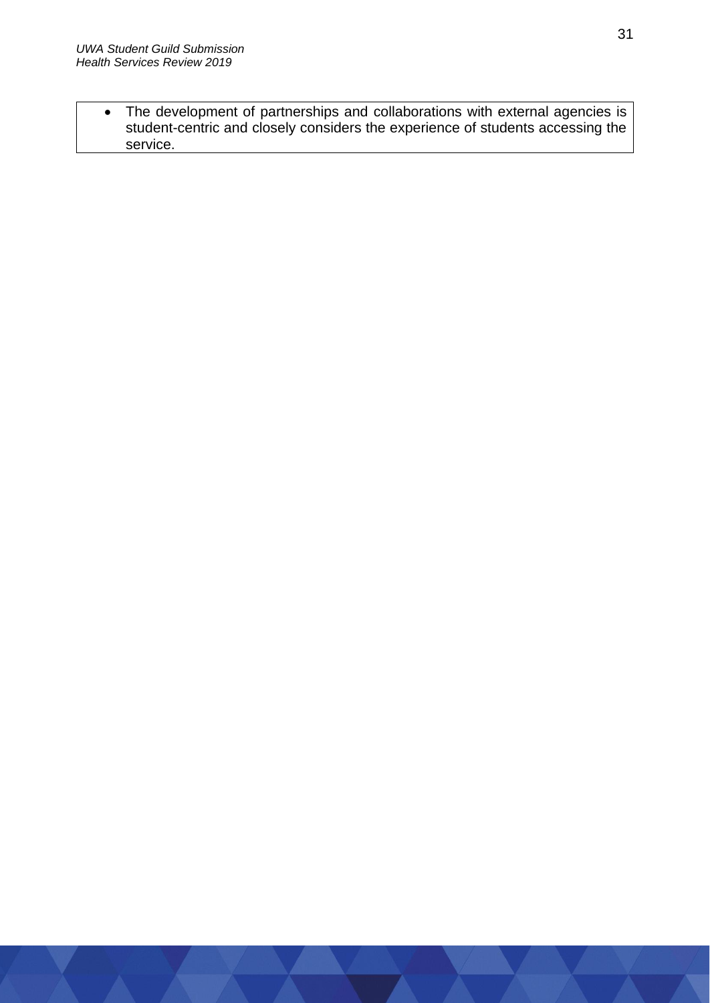• The development of partnerships and collaborations with external agencies is student-centric and closely considers the experience of students accessing the service.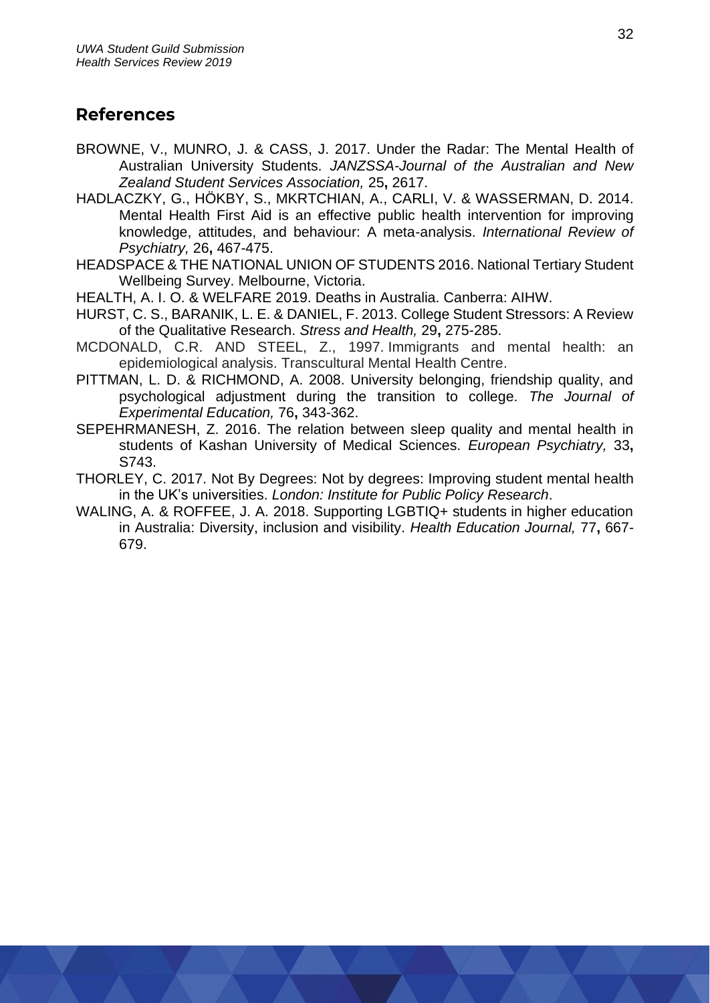# <span id="page-31-0"></span>**References**

- BROWNE, V., MUNRO, J. & CASS, J. 2017. Under the Radar: The Mental Health of Australian University Students. *JANZSSA-Journal of the Australian and New Zealand Student Services Association,* 25**,** 2617.
- HADLACZKY, G., HÖKBY, S., MKRTCHIAN, A., CARLI, V. & WASSERMAN, D. 2014. Mental Health First Aid is an effective public health intervention for improving knowledge, attitudes, and behaviour: A meta-analysis. *International Review of Psychiatry,* 26**,** 467-475.
- HEADSPACE & THE NATIONAL UNION OF STUDENTS 2016. National Tertiary Student Wellbeing Survey. Melbourne, Victoria.
- HEALTH, A. I. O. & WELFARE 2019. Deaths in Australia. Canberra: AIHW.
- HURST, C. S., BARANIK, L. E. & DANIEL, F. 2013. College Student Stressors: A Review of the Qualitative Research. *Stress and Health,* 29**,** 275-285.
- MCDONALD, C.R. AND STEEL, Z., 1997. Immigrants and mental health: an epidemiological analysis. Transcultural Mental Health Centre.
- PITTMAN, L. D. & RICHMOND, A. 2008. University belonging, friendship quality, and psychological adjustment during the transition to college. *The Journal of Experimental Education,* 76**,** 343-362.
- SEPEHRMANESH, Z. 2016. The relation between sleep quality and mental health in students of Kashan University of Medical Sciences. *European Psychiatry,* 33**,** S743.
- THORLEY, C. 2017. Not By Degrees: Not by degrees: Improving student mental health in the UK's universities. *London: Institute for Public Policy Research*.
- WALING, A. & ROFFEE, J. A. 2018. Supporting LGBTIQ+ students in higher education in Australia: Diversity, inclusion and visibility. *Health Education Journal,* 77**,** 667- 679.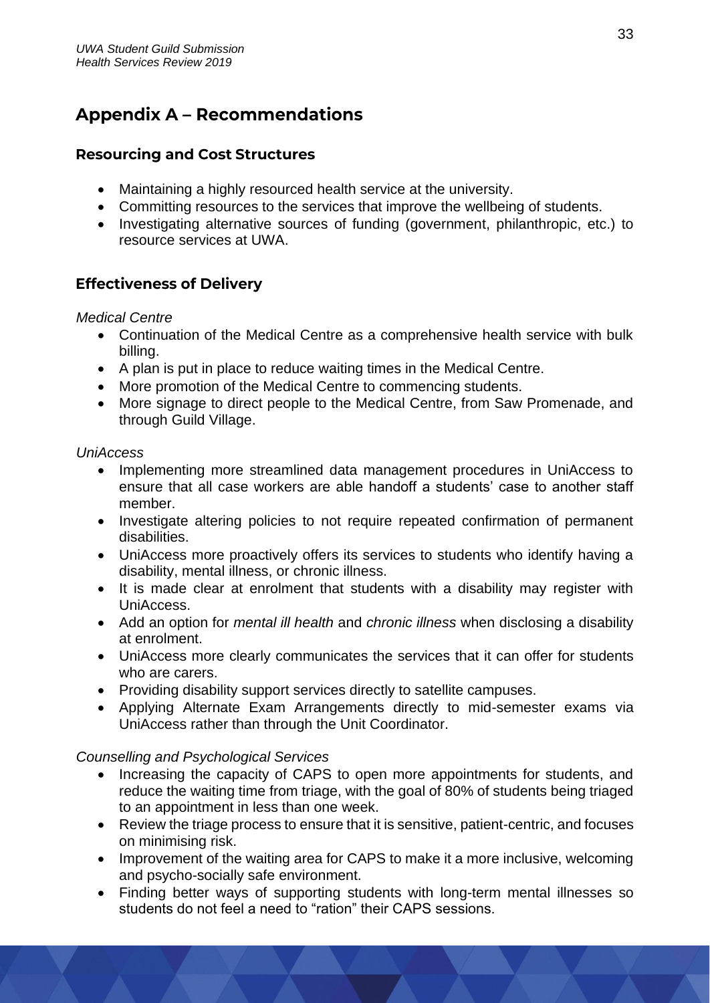# <span id="page-32-0"></span>**Appendix A - Recommendations**

# **Resourcing and Cost Structures**

- Maintaining a highly resourced health service at the university.
- Committing resources to the services that improve the wellbeing of students.
- Investigating alternative sources of funding (government, philanthropic, etc.) to resource services at UWA.

# **Effectiveness of Delivery**

### *Medical Centre*

- Continuation of the Medical Centre as a comprehensive health service with bulk billing.
- A plan is put in place to reduce waiting times in the Medical Centre.
- More promotion of the Medical Centre to commencing students.
- More signage to direct people to the Medical Centre, from Saw Promenade, and through Guild Village.

## *UniAccess*

- Implementing more streamlined data management procedures in UniAccess to ensure that all case workers are able handoff a students' case to another staff member.
- Investigate altering policies to not require repeated confirmation of permanent disabilities.
- UniAccess more proactively offers its services to students who identify having a disability, mental illness, or chronic illness.
- It is made clear at enrolment that students with a disability may register with UniAccess.
- Add an option for *mental ill health* and *chronic illness* when disclosing a disability at enrolment.
- UniAccess more clearly communicates the services that it can offer for students who are carers.
- Providing disability support services directly to satellite campuses.
- Applying Alternate Exam Arrangements directly to mid-semester exams via UniAccess rather than through the Unit Coordinator.

# *Counselling and Psychological Services*

- Increasing the capacity of CAPS to open more appointments for students, and reduce the waiting time from triage, with the goal of 80% of students being triaged to an appointment in less than one week.
- Review the triage process to ensure that it is sensitive, patient-centric, and focuses on minimising risk.
- Improvement of the waiting area for CAPS to make it a more inclusive, welcoming and psycho-socially safe environment.
- Finding better ways of supporting students with long-term mental illnesses so students do not feel a need to "ration" their CAPS sessions.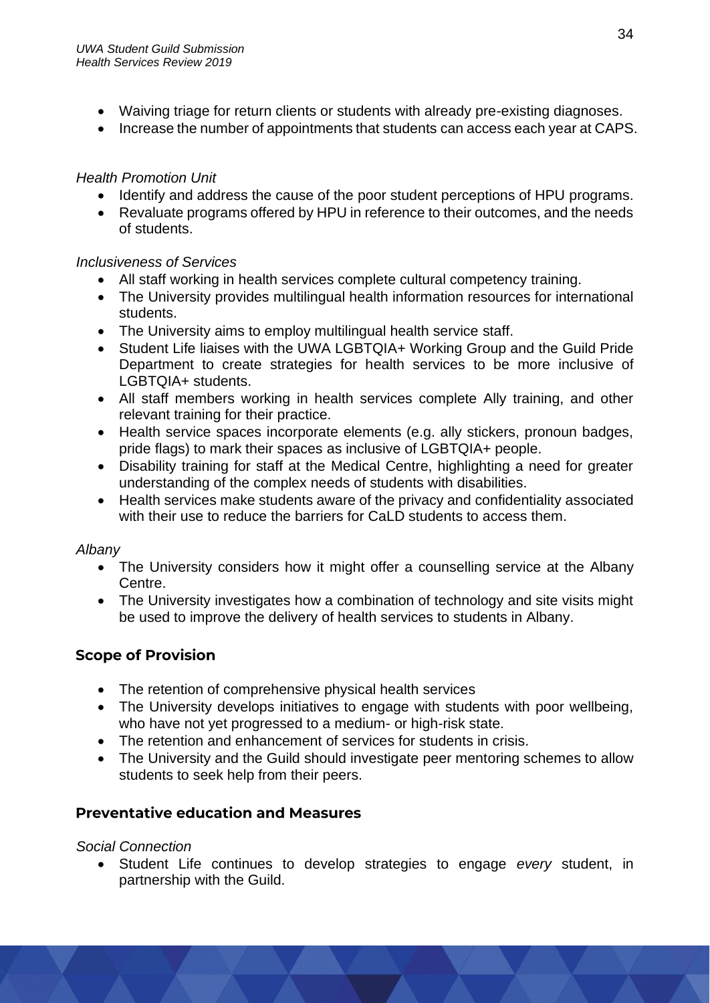- Waiving triage for return clients or students with already pre-existing diagnoses.
- Increase the number of appointments that students can access each year at CAPS.

## *Health Promotion Unit*

- Identify and address the cause of the poor student perceptions of HPU programs.
- Revaluate programs offered by HPU in reference to their outcomes, and the needs of students.

## *Inclusiveness of Services*

- All staff working in health services complete cultural competency training.
- The University provides multilingual health information resources for international students.
- The University aims to employ multilingual health service staff.
- Student Life liaises with the UWA LGBTQIA+ Working Group and the Guild Pride Department to create strategies for health services to be more inclusive of LGBTQIA+ students.
- All staff members working in health services complete Ally training, and other relevant training for their practice.
- Health service spaces incorporate elements (e.g. ally stickers, pronoun badges, pride flags) to mark their spaces as inclusive of LGBTQIA+ people.
- Disability training for staff at the Medical Centre, highlighting a need for greater understanding of the complex needs of students with disabilities.
- Health services make students aware of the privacy and confidentiality associated with their use to reduce the barriers for CaLD students to access them.

# *Albany*

- The University considers how it might offer a counselling service at the Albany Centre.
- The University investigates how a combination of technology and site visits might be used to improve the delivery of health services to students in Albany.

# **Scope of Provision**

- The retention of comprehensive physical health services
- The University develops initiatives to engage with students with poor wellbeing, who have not yet progressed to a medium- or high-risk state.
- The retention and enhancement of services for students in crisis.
- The University and the Guild should investigate peer mentoring schemes to allow students to seek help from their peers.

# **Preventative education and Measures**

### *Social Connection*

• Student Life continues to develop strategies to engage *every* student, in partnership with the Guild.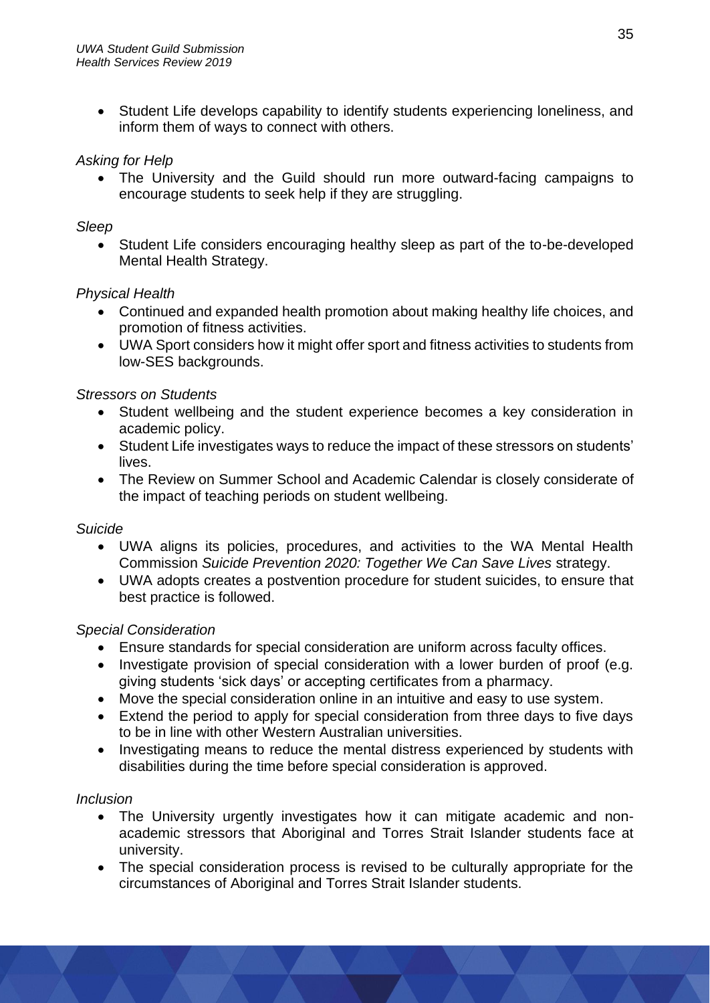• Student Life develops capability to identify students experiencing loneliness, and inform them of ways to connect with others.

## *Asking for Help*

• The University and the Guild should run more outward-facing campaigns to encourage students to seek help if they are struggling.

### *Sleep*

• Student Life considers encouraging healthy sleep as part of the to-be-developed Mental Health Strategy.

## *Physical Health*

- Continued and expanded health promotion about making healthy life choices, and promotion of fitness activities.
- UWA Sport considers how it might offer sport and fitness activities to students from low-SES backgrounds.

## *Stressors on Students*

- Student wellbeing and the student experience becomes a key consideration in academic policy.
- Student Life investigates ways to reduce the impact of these stressors on students' lives.
- The Review on Summer School and Academic Calendar is closely considerate of the impact of teaching periods on student wellbeing.

### *Suicide*

- UWA aligns its policies, procedures, and activities to the WA Mental Health Commission *Suicide Prevention 2020: Together We Can Save Lives* strategy.
- UWA adopts creates a postvention procedure for student suicides, to ensure that best practice is followed.

# *Special Consideration*

- Ensure standards for special consideration are uniform across faculty offices.
- Investigate provision of special consideration with a lower burden of proof (e.g. giving students 'sick days' or accepting certificates from a pharmacy.
- Move the special consideration online in an intuitive and easy to use system.
- Extend the period to apply for special consideration from three days to five days to be in line with other Western Australian universities.
- Investigating means to reduce the mental distress experienced by students with disabilities during the time before special consideration is approved.

### *Inclusion*

- The University urgently investigates how it can mitigate academic and nonacademic stressors that Aboriginal and Torres Strait Islander students face at university.
- The special consideration process is revised to be culturally appropriate for the circumstances of Aboriginal and Torres Strait Islander students.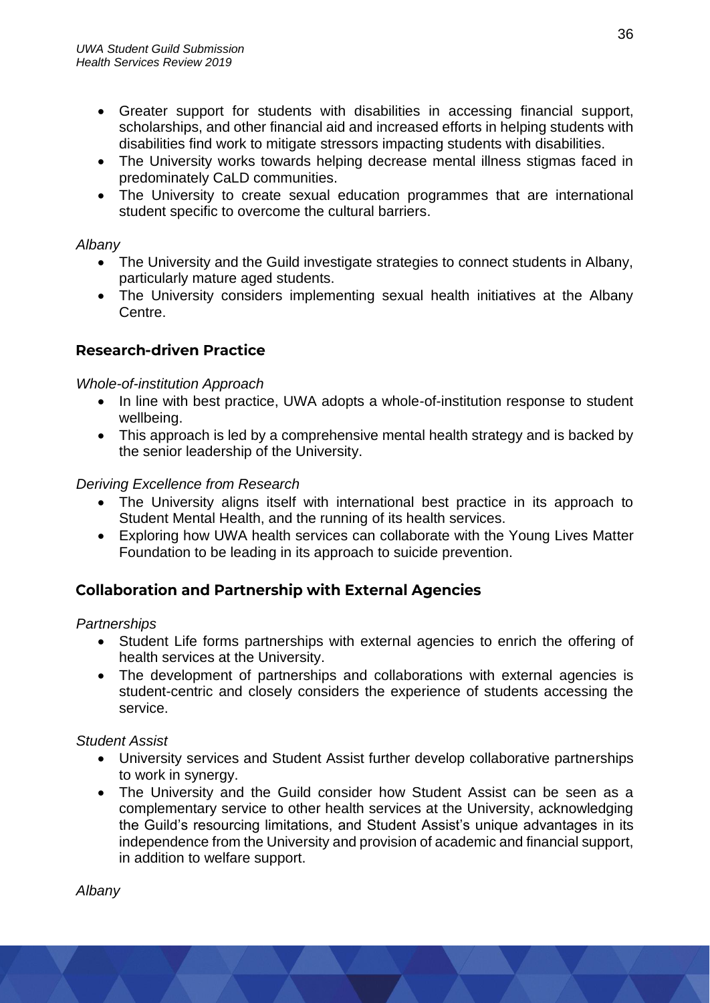- Greater support for students with disabilities in accessing financial support, scholarships, and other financial aid and increased efforts in helping students with disabilities find work to mitigate stressors impacting students with disabilities.
- The University works towards helping decrease mental illness stigmas faced in predominately CaLD communities.
- The University to create sexual education programmes that are international student specific to overcome the cultural barriers.

### *Albany*

- The University and the Guild investigate strategies to connect students in Albany, particularly mature aged students.
- The University considers implementing sexual health initiatives at the Albany Centre.

# **Research-driven Practice**

## *Whole-of-institution Approach*

- In line with best practice, UWA adopts a whole-of-institution response to student wellbeing.
- This approach is led by a comprehensive mental health strategy and is backed by the senior leadership of the University.

## *Deriving Excellence from Research*

- The University aligns itself with international best practice in its approach to Student Mental Health, and the running of its health services.
- Exploring how UWA health services can collaborate with the Young Lives Matter Foundation to be leading in its approach to suicide prevention.

# **Collaboration and Partnership with External Agencies**

### *Partnerships*

- Student Life forms partnerships with external agencies to enrich the offering of health services at the University.
- The development of partnerships and collaborations with external agencies is student-centric and closely considers the experience of students accessing the service.

### *Student Assist*

- University services and Student Assist further develop collaborative partnerships to work in synergy.
- The University and the Guild consider how Student Assist can be seen as a complementary service to other health services at the University, acknowledging the Guild's resourcing limitations, and Student Assist's unique advantages in its independence from the University and provision of academic and financial support, in addition to welfare support.

*Albany*